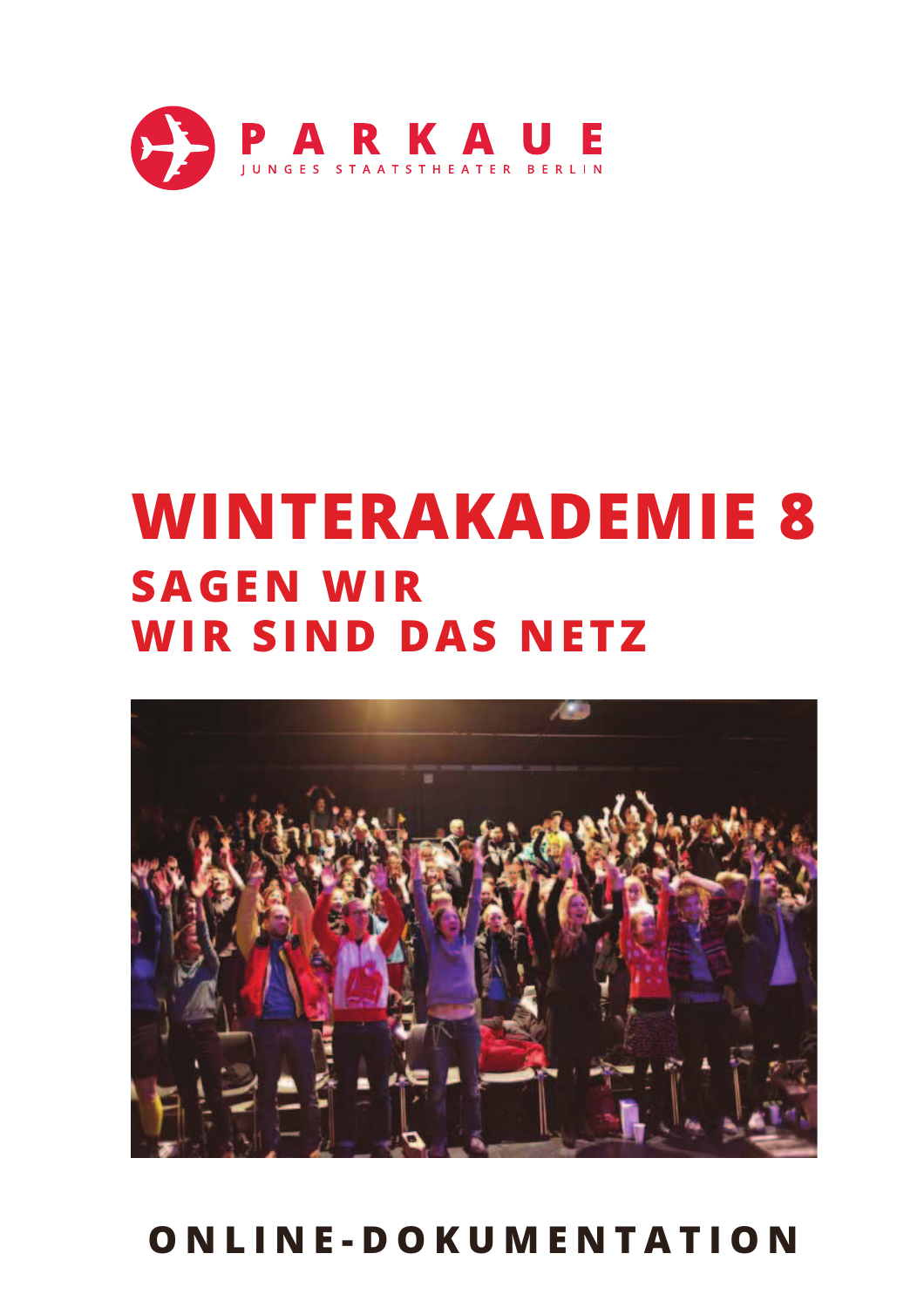

# **WINTERAKADEMIE 8 SAGEN WIR WIR SIND DAS NETZ**



## ONLINE-DOKUMENTATION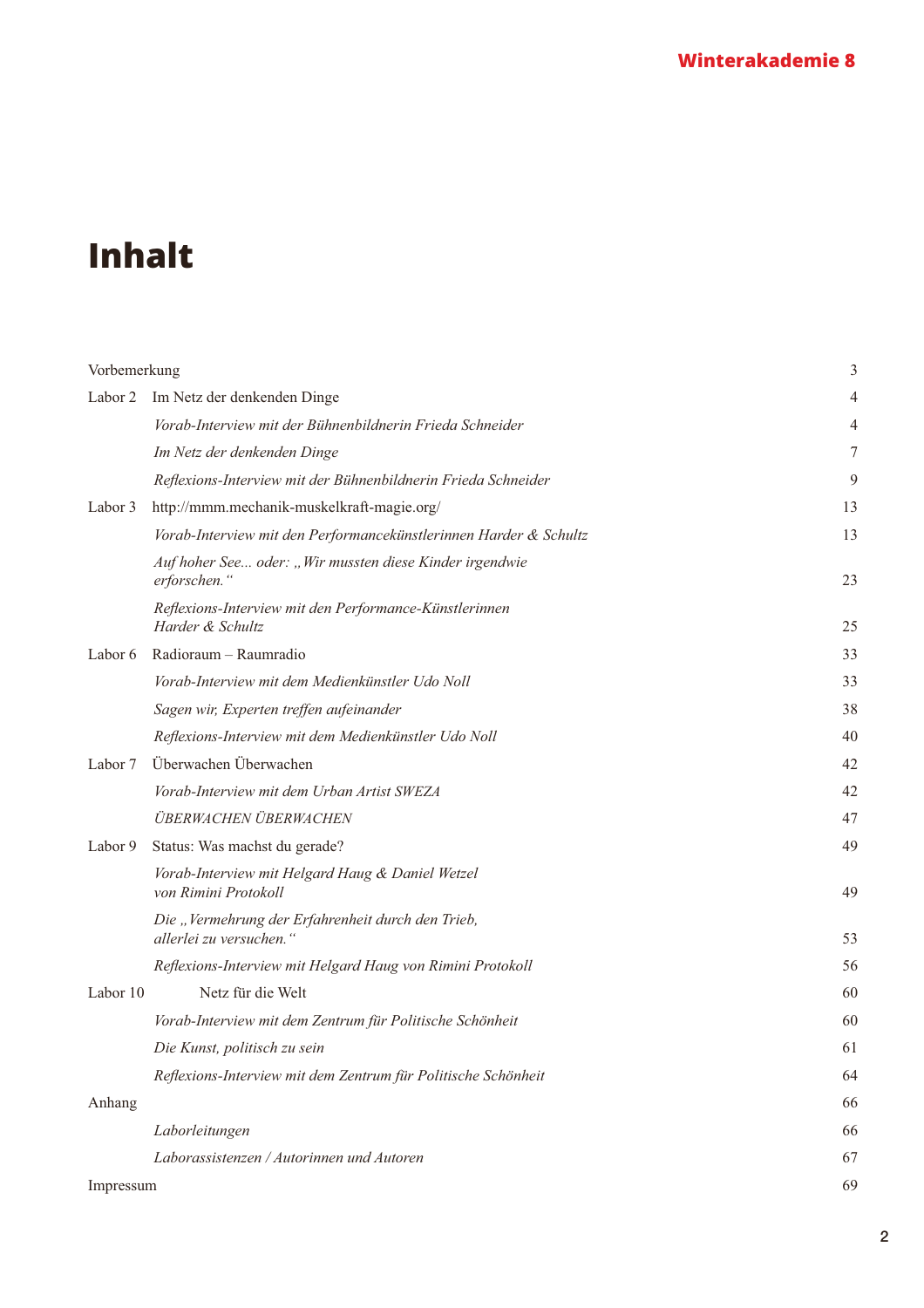## **Inhalt**

| Vorbemerkung |                                                                              | 3  |
|--------------|------------------------------------------------------------------------------|----|
| Labor 2      | Im Netz der denkenden Dinge                                                  | 4  |
|              | Vorab-Interview mit der Bühnenbildnerin Frieda Schneider                     | 4  |
|              | Im Netz der denkenden Dinge                                                  | 7  |
|              | Reflexions-Interview mit der Bühnenbildnerin Frieda Schneider                | 9  |
| Labor 3      | http://mmm.mechanik-muskelkraft-magie.org/                                   | 13 |
|              | Vorab-Interview mit den Performancekünstlerinnen Harder & Schultz            | 13 |
|              | Auf hoher See oder: "Wir mussten diese Kinder irgendwie<br>erforschen."      | 23 |
|              | Reflexions-Interview mit den Performance-Künstlerinnen<br>Harder & Schultz   | 25 |
| Labor 6      | Radioraum - Raumradio                                                        | 33 |
|              | Vorab-Interview mit dem Medienkünstler Udo Noll                              | 33 |
|              | Sagen wir, Experten treffen aufeinander                                      | 38 |
|              | Reflexions-Interview mit dem Medienkünstler Udo Noll                         | 40 |
| Labor 7      | Überwachen Überwachen                                                        | 42 |
|              | Vorab-Interview mit dem Urban Artist SWEZA                                   | 42 |
|              | ÜBERWACHEN ÜBERWACHEN                                                        | 47 |
| Labor 9      | Status: Was machst du gerade?                                                | 49 |
|              | Vorab-Interview mit Helgard Haug & Daniel Wetzel<br>von Rimini Protokoll     | 49 |
|              | Die "Vermehrung der Erfahrenheit durch den Trieb,<br>allerlei zu versuchen." | 53 |
|              | Reflexions-Interview mit Helgard Haug von Rimini Protokoll                   | 56 |
| Labor 10     | Netz für die Welt                                                            | 60 |
|              | Vorab-Interview mit dem Zentrum für Politische Schönheit                     | 60 |
|              | Die Kunst, politisch zu sein                                                 | 61 |
|              | Reflexions-Interview mit dem Zentrum für Politische Schönheit                | 64 |
| Anhang       |                                                                              | 66 |
|              | Laborleitungen                                                               | 66 |
|              | Laborassistenzen / Autorinnen und Autoren                                    | 67 |
| Impressum    |                                                                              | 69 |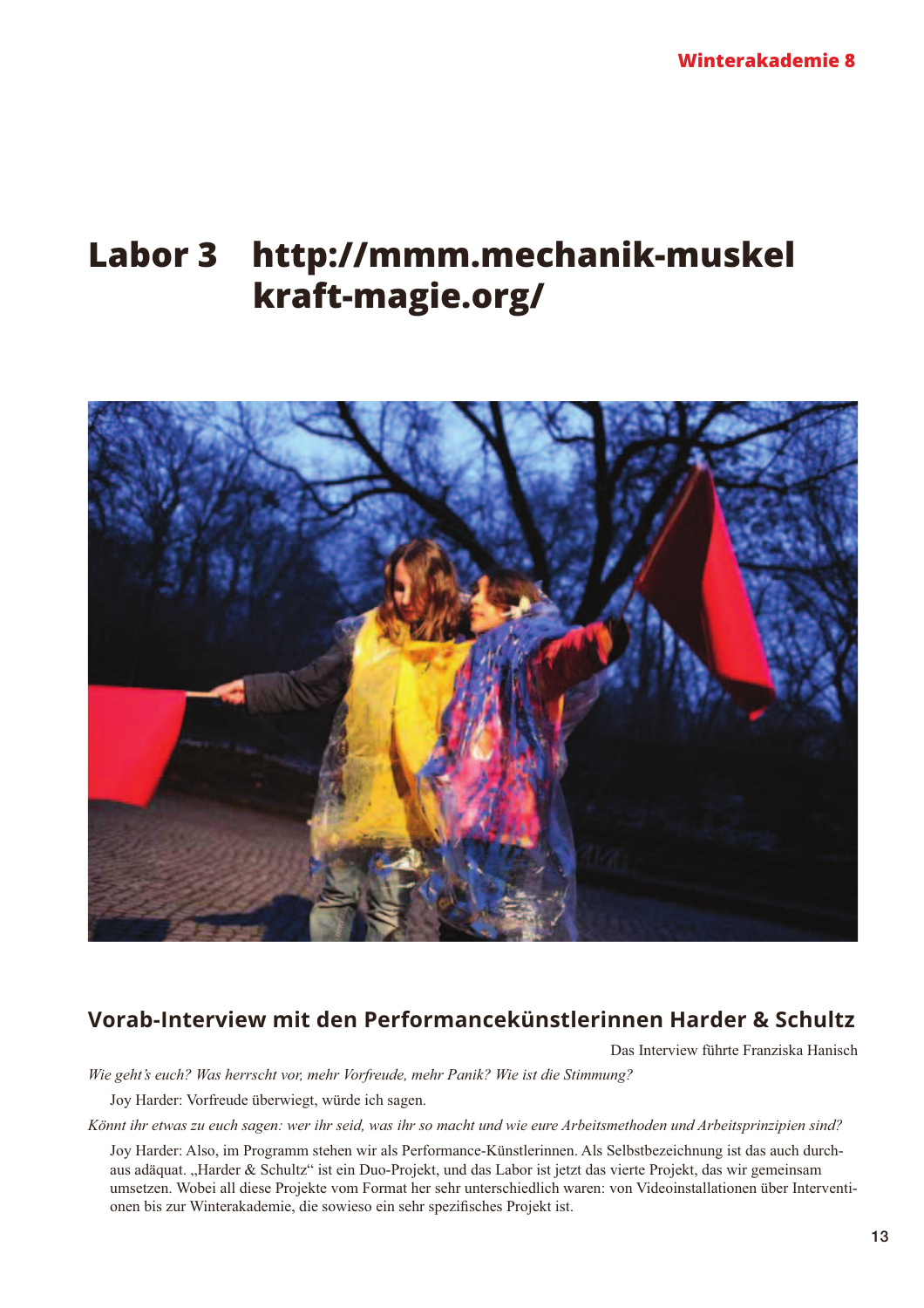## **Labor 3** http://mmm.mechanik-muskel kraft-magie.org/



## Vorab-Interview mit den Performancekünstlerinnen Harder & Schultz

Das Interview führte Franziska Hanisch

Wie geht's euch? Was herrscht vor, mehr Vorfreude, mehr Panik? Wie ist die Stimmung?

Joy Harder: Vorfreude überwiegt, würde ich sagen.

Könnt ihr etwas zu euch sagen: wer ihr seid, was ihr so macht und wie eure Arbeitsmethoden und Arbeitsprinzipien sind?

Joy Harder: Also, im Programm stehen wir als Performance-Künstlerinnen. Als Selbstbezeichnung ist das auch durchaus adäquat. "Harder & Schultz" ist ein Duo-Projekt, und das Labor ist jetzt das vierte Projekt, das wir gemeinsam umsetzen. Wobei all diese Projekte vom Format her sehr unterschiedlich waren: von Videoinstallationen über Interventionen bis zur Winterakademie, die sowieso ein sehr spezifisches Projekt ist.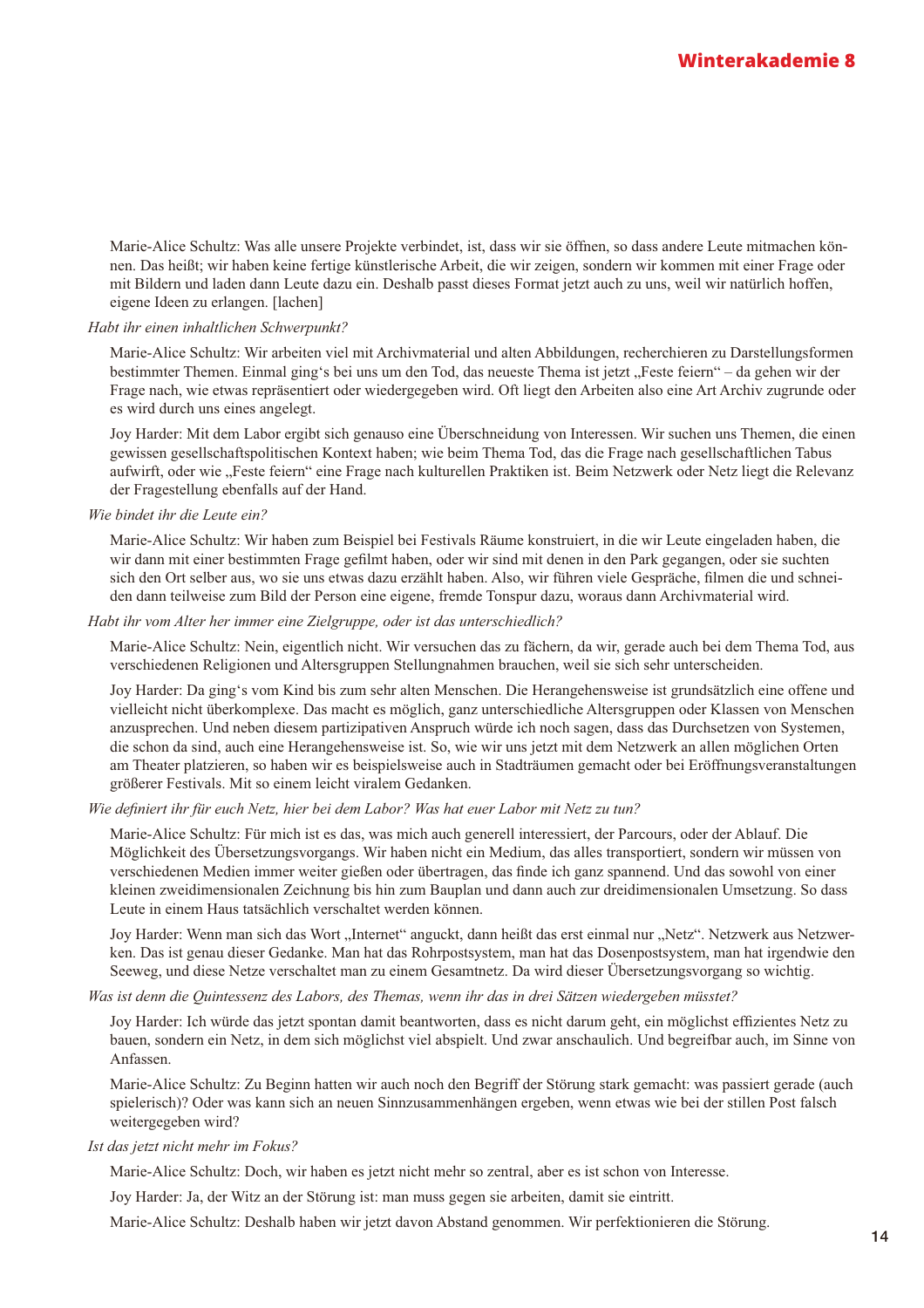Marie-Alice Schultz: Was alle unsere Projekte verbindet, ist, dass wir sie öffnen, so dass andere Leute mitmachen können. Das heißt; wir haben keine fertige künstlerische Arbeit, die wir zeigen, sondern wir kommen mit einer Frage oder mit Bildern und laden dann Leute dazu ein. Deshalb passt dieses Format jetzt auch zu uns, weil wir natürlich hoffen, eigene Ideen zu erlangen. [lachen]

#### Habt ihr einen inhaltlichen Schwerpunkt?

Marie-Alice Schultz: Wir arbeiten viel mit Archivmaterial und alten Abbildungen, recherchieren zu Darstellungsformen bestimmter Themen. Einmal ging's bei uns um den Tod, das neueste Thema ist jetzt "Feste feiern" – da gehen wir der Frage nach, wie etwas repräsentiert oder wiedergegeben wird. Oft liegt den Arbeiten also eine Art Archiv zugrunde oder es wird durch uns eines angelegt.

Joy Harder: Mit dem Labor ergibt sich genauso eine Überschneidung von Interessen. Wir suchen uns Themen, die einen gewissen gesellschaftspolitischen Kontext haben; wie beim Thema Tod, das die Frage nach gesellschaftlichen Tabus aufwirft, oder wie "Feste feiern" eine Frage nach kulturellen Praktiken ist. Beim Netzwerk oder Netz liegt die Relevanz der Fragestellung ebenfalls auf der Hand.

Wie bindet ihr die Leute ein?

Marie-Alice Schultz: Wir haben zum Beispiel bei Festivals Räume konstruiert, in die wir Leute eingeladen haben, die wir dann mit einer bestimmten Frage gefilmt haben, oder wir sind mit denen in den Park gegangen, oder sie suchten sich den Ort selber aus, wo sie uns etwas dazu erzählt haben. Also, wir führen viele Gespräche, filmen die und schneiden dann teilweise zum Bild der Person eine eigene, fremde Tonspur dazu, woraus dann Archivmaterial wird.

#### Habt ihr vom Alter her immer eine Zielgruppe, oder ist das unterschiedlich?

Marie-Alice Schultz: Nein, eigentlich nicht. Wir versuchen das zu fächern, da wir, gerade auch bei dem Thema Tod, aus verschiedenen Religionen und Altersgruppen Stellungnahmen brauchen, weil sie sich sehr unterscheiden.

Joy Harder: Da ging's vom Kind bis zum sehr alten Menschen. Die Herangehensweise ist grundsätzlich eine offene und vielleicht nicht überkomplexe. Das macht es möglich, ganz unterschiedliche Altersgruppen oder Klassen von Menschen anzusprechen. Und neben diesem partizipativen Anspruch würde ich noch sagen, dass das Durchsetzen von Systemen, die schon da sind, auch eine Herangehensweise ist. So, wie wir uns jetzt mit dem Netzwerk an allen möglichen Orten am Theater platzieren, so haben wir es beispielsweise auch in Stadträumen gemacht oder bei Eröffnungsveranstaltungen größerer Festivals. Mit so einem leicht viralem Gedanken.

#### Wie definiert ihr für euch Netz, hier bei dem Labor? Was hat euer Labor mit Netz zu tun?

Marie-Alice Schultz: Für mich ist es das, was mich auch generell interessiert, der Parcours, oder der Ablauf. Die Möglichkeit des Übersetzungsvorgangs. Wir haben nicht ein Medium, das alles transportiert, sondern wir müssen von verschiedenen Medien immer weiter gießen oder übertragen, das finde ich ganz spannend. Und das sowohl von einer kleinen zweidimensionalen Zeichnung bis hin zum Bauplan und dann auch zur dreidimensionalen Umsetzung. So dass Leute in einem Haus tatsächlich verschaltet werden können.

Joy Harder: Wenn man sich das Wort "Internet" anguckt, dann heißt das erst einmal nur "Netz". Netzwerk aus Netzwerken. Das ist genau dieser Gedanke. Man hat das Rohrpostsystem, man hat das Dosenpostsystem, man hat irgendwie den Seeweg, und diese Netze verschaltet man zu einem Gesamtnetz. Da wird dieser Übersetzungsvorgang so wichtig.

Was ist denn die Ouintessenz des Labors, des Themas, wenn ihr das in drei Sätzen wiedergeben müsstet?

Joy Harder: Ich würde das jetzt spontan damit beantworten, dass es nicht darum geht, ein möglichst effizientes Netz zu bauen, sondern ein Netz, in dem sich möglichst viel abspielt. Und zwar anschaulich. Und begreifbar auch, im Sinne von Anfassen.

Marie-Alice Schultz: Zu Beginn hatten wir auch noch den Begriff der Störung stark gemacht: was passiert gerade (auch spielerisch)? Oder was kann sich an neuen Sinnzusammenhängen ergeben, wenn etwas wie bei der stillen Post falsch weitergegeben wird?

#### Ist das jetzt nicht mehr im Fokus?

Marie-Alice Schultz: Doch, wir haben es jetzt nicht mehr so zentral, aber es ist schon von Interesse.

Joy Harder: Ja, der Witz an der Störung ist: man muss gegen sie arbeiten, damit sie eintritt.

Marie-Alice Schultz: Deshalb haben wir jetzt davon Abstand genommen. Wir perfektionieren die Störung.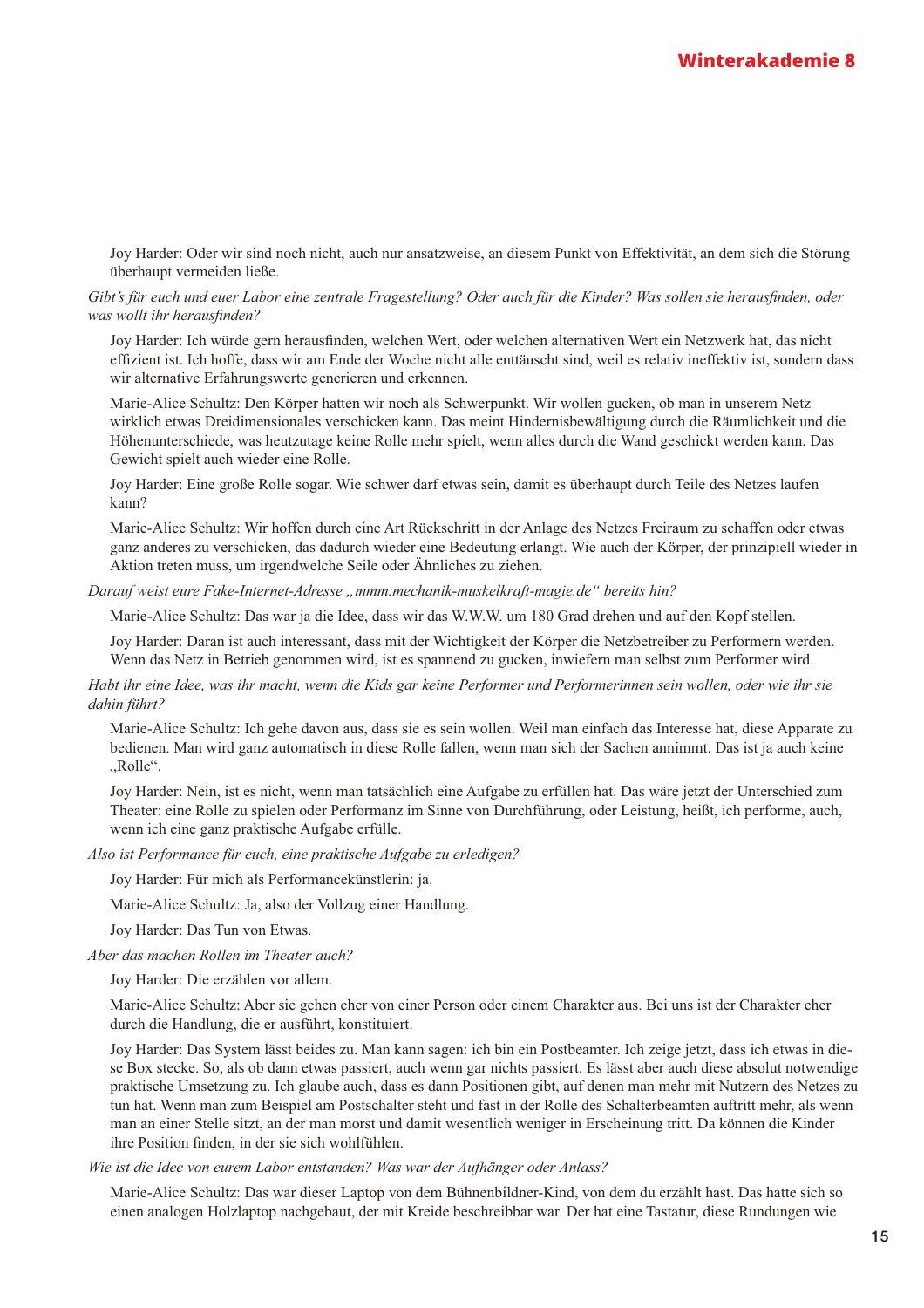Joy Harder: Oder wir sind noch nicht, auch nur ansatzweise, an diesem Punkt von Effektivität, an dem sich die Störung überhaupt vermeiden ließe.

Gibt's für euch und euer Labor eine zentrale Fragestellung? Oder auch für die Kinder? Was sollen sie herausfinden, oder was wollt ihr herausfinden?

Joy Harder: Ich würde gern herausfinden, welchen Wert, oder welchen alternativen Wert ein Netzwerk hat, das nicht effizient ist. Ich hoffe, dass wir am Ende der Woche nicht alle enttäuscht sind, weil es relativ ineffektiv ist, sondern dass wir alternative Erfahrungswerte generieren und erkennen.

Marie-Alice Schultz: Den Körper hatten wir noch als Schwerpunkt. Wir wollen gucken, ob man in unserem Netz wirklich etwas Dreidimensionales verschicken kann. Das meint Hindernisbewältigung durch die Räumlichkeit und die Höhenunterschiede, was heutzutage keine Rolle mehr spielt, wenn alles durch die Wand geschickt werden kann. Das Gewicht spielt auch wieder eine Rolle.

Joy Harder: Eine große Rolle sogar. Wie schwer darf etwas sein, damit es überhaupt durch Teile des Netzes laufen kann?

Marie-Alice Schultz: Wir hoffen durch eine Art Rückschritt in der Anlage des Netzes Freiraum zu schaffen oder etwas ganz anderes zu verschicken, das dadurch wieder eine Bedeutung erlangt. Wie auch der Körper, der prinzipiell wieder in Aktion treten muss, um irgendwelche Seile oder Ähnliches zu ziehen.

Darauf weist eure Fake-Internet-Adresse "mmm.mechanik-muskelkraft-magie.de" bereits hin?

Marie-Alice Schultz: Das war ja die Idee, dass wir das W.W.W. um 180 Grad drehen und auf den Kopf stellen.

Joy Harder: Daran ist auch interessant, dass mit der Wichtigkeit der Körper die Netzbetreiber zu Performern werden. Wenn das Netz in Betrieb genommen wird, ist es spannend zu gucken, inwiefern man selbst zum Performer wird.

Habt ihr eine Idee, was ihr macht, wenn die Kids gar keine Performer und Performerinnen sein wollen, oder wie ihr sie dahin führt?

Marie-Alice Schultz: Ich gehe davon aus, dass sie es sein wollen. Weil man einfach das Interesse hat, diese Apparate zu bedienen. Man wird ganz automatisch in diese Rolle fallen, wenn man sich der Sachen annimmt. Das ist ja auch keine "Rolle".

Joy Harder: Nein, ist es nicht, wenn man tatsächlich eine Aufgabe zu erfüllen hat. Das wäre jetzt der Unterschied zum Theater: eine Rolle zu spielen oder Performanz im Sinne von Durchführung, oder Leistung, heißt, ich performe, auch, wenn ich eine ganz praktische Aufgabe erfülle.

Also ist Performance für euch, eine praktische Aufgabe zu erledigen?

Jov Harder: Für mich als Performancekünstlerin: ia.

Marie-Alice Schultz: Ja, also der Vollzug einer Handlung.

Joy Harder: Das Tun von Etwas.

Aber das machen Rollen im Theater auch?

Joy Harder: Die erzählen vor allem.

Marie-Alice Schultz: Aber sie gehen eher von einer Person oder einem Charakter aus. Bei uns ist der Charakter eher durch die Handlung, die er ausführt, konstituiert.

Joy Harder: Das System lässt beides zu. Man kann sagen: ich bin ein Postbeamter. Ich zeige jetzt, dass ich etwas in diese Box stecke. So, als ob dann etwas passiert, auch wenn gar nichts passiert. Es lässt aber auch diese absolut notwendige praktische Umsetzung zu. Ich glaube auch, dass es dann Positionen gibt, auf denen man mehr mit Nutzern des Netzes zu tun hat. Wenn man zum Beispiel am Postschalter steht und fast in der Rolle des Schalterbeamten auftritt mehr, als wenn man an einer Stelle sitzt, an der man morst und damit wesentlich weniger in Erscheinung tritt. Da können die Kinder ihre Position finden, in der sie sich wohlfühlen.

Wie ist die Idee von eurem Labor entstanden? Was war der Aufhänger oder Anlass?

Marie-Alice Schultz: Das war dieser Laptop von dem Bühnenbildner-Kind, von dem du erzählt hast. Das hatte sich so einen analogen Holzlaptop nachgebaut, der mit Kreide beschreibbar war. Der hat eine Tastatur, diese Rundungen wie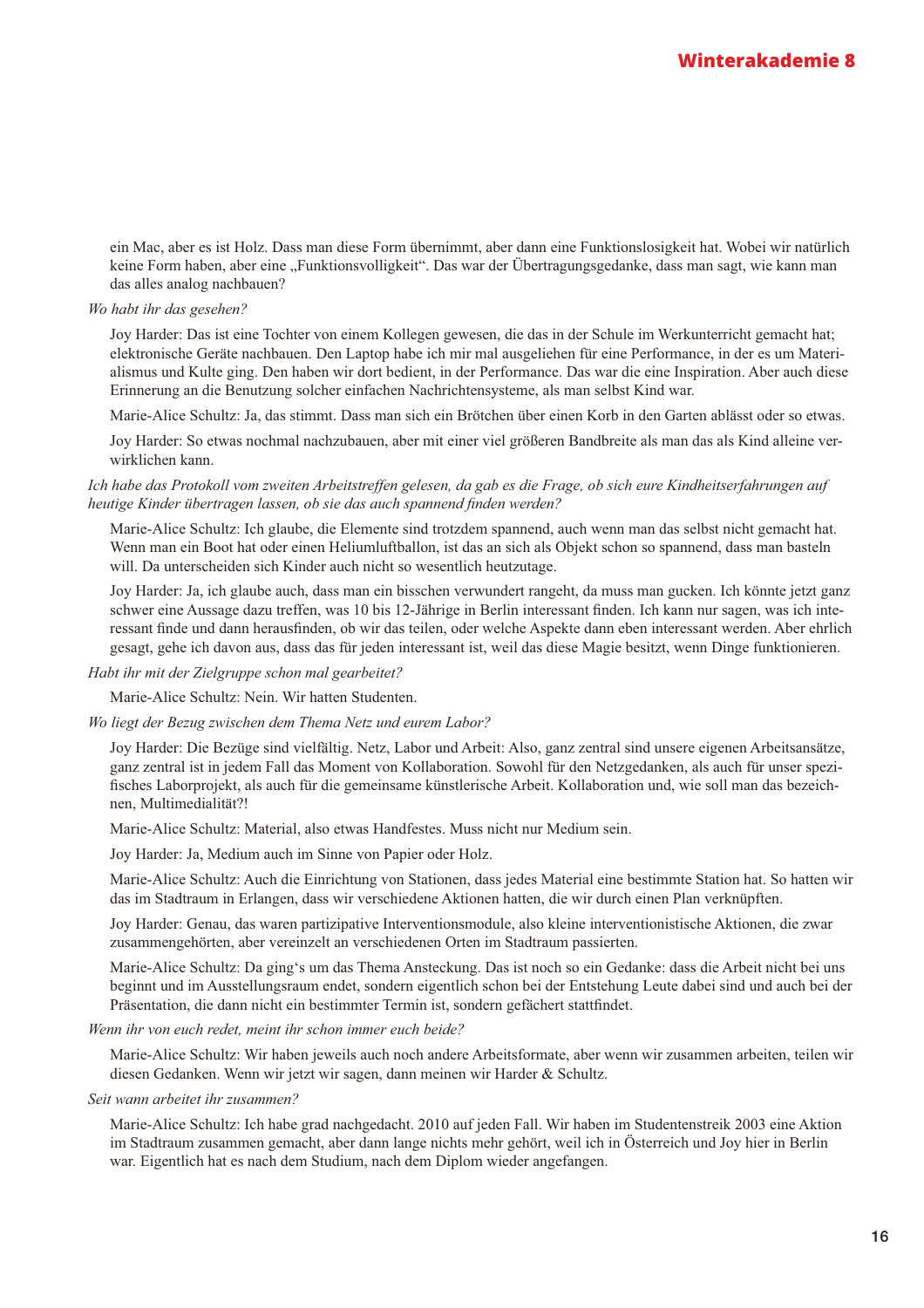ein Mac, aber es ist Holz. Dass man diese Form übernimmt, aber dann eine Funktionslosigkeit hat. Wobei wir natürlich keine Form haben, aber eine "Funktionsvolligkeit". Das war der Übertragungsgedanke, dass man sagt, wie kann man das alles analog nachbauen?

#### Wo habt ihr das gesehen?

Joy Harder: Das ist eine Tochter von einem Kollegen gewesen, die das in der Schule im Werkunterricht gemacht hat; elektronische Geräte nachbauen. Den Laptop habe ich mir mal ausgeliehen für eine Performance, in der es um Materialismus und Kulte ging. Den haben wir dort bedient, in der Performance. Das war die eine Inspiration. Aber auch diese Erinnerung an die Benutzung solcher einfachen Nachrichtensysteme, als man selbst Kind war.

Marie-Alice Schultz: Ja. das stimmt. Dass man sich ein Brötchen über einen Korb in den Garten ablässt oder so etwas.

Joy Harder: So etwas nochmal nachzubauen, aber mit einer viel größeren Bandbreite als man das als Kind alleine verwirklichen kann.

Ich habe das Protokoll vom zweiten Arbeitstreffen gelesen, da gab es die Frage, ob sich eure Kindheitserfahrungen auf heutige Kinder übertragen lassen, ob sie das auch spannend finden werden?

Marie-Alice Schultz: Ich glaube, die Elemente sind trotzdem spannend, auch wenn man das selbst nicht gemacht hat. Wenn man ein Boot hat oder einen Heliumluftballon, ist das an sich als Objekt schon so spannend, dass man basteln will. Da unterscheiden sich Kinder auch nicht so wesentlich heutzutage.

Joy Harder: Ja, ich glaube auch, dass man ein bisschen verwundert rangeht, da muss man gucken. Ich könnte jetzt ganz schwer eine Aussage dazu treffen, was 10 bis 12-Jährige in Berlin interessant finden. Ich kann nur sagen, was ich interessant finde und dann herausfinden, ob wir das teilen, oder welche Aspekte dann eben interessant werden. Aber ehrlich gesagt, gehe ich davon aus, dass das für jeden interessant ist, weil das diese Magie besitzt, wenn Dinge funktionieren.

#### Habt ihr mit der Zielgruppe schon mal gearbeitet?

Marie-Alice Schultz: Nein. Wir hatten Studenten.

#### Wo liegt der Bezug zwischen dem Thema Netz und eurem Labor?

Joy Harder: Die Bezüge sind vielfältig. Netz, Labor und Arbeit: Also, ganz zentral sind unsere eigenen Arbeitsansätze, ganz zentral ist in jedem Fall das Moment von Kollaboration. Sowohl für den Netzgedanken, als auch für unser spezifisches Laborprojekt, als auch für die gemeinsame künstlerische Arbeit. Kollaboration und, wie soll man das bezeichnen, Multimedialität?!

Marie-Alice Schultz: Material, also etwas Handfestes. Muss nicht nur Medium sein.

Joy Harder: Ja, Medium auch im Sinne von Papier oder Holz.

Marie-Alice Schultz: Auch die Einrichtung von Stationen, dass jedes Material eine bestimmte Station hat. So hatten wir das im Stadtraum in Erlangen, dass wir verschiedene Aktionen hatten, die wir durch einen Plan verknüpften.

Joy Harder: Genau, das waren partizipative Interventionsmodule, also kleine interventionistische Aktionen, die zwar zusammengehörten, aber vereinzelt an verschiedenen Orten im Stadtraum passierten.

Marie-Alice Schultz: Da ging's um das Thema Ansteckung. Das ist noch so ein Gedanke: dass die Arbeit nicht bei uns beginnt und im Ausstellungsraum endet, sondern eigentlich schon bei der Entstehung Leute dabei sind und auch bei der Präsentation, die dann nicht ein bestimmter Termin ist, sondern gefächert stattfindet.

#### Wenn ihr von euch redet, meint ihr schon immer euch beide?

Marie-Alice Schultz: Wir haben jeweils auch noch andere Arbeitsformate, aber wenn wir zusammen arbeiten, teilen wir diesen Gedanken. Wenn wir jetzt wir sagen, dann meinen wir Harder & Schultz.

#### Seit wann arbeitet ihr zusammen?

Marie-Alice Schultz: Ich habe grad nachgedacht. 2010 auf jeden Fall. Wir haben im Studentenstreik 2003 eine Aktion im Stadtraum zusammen gemacht, aber dann lange nichts mehr gehört, weil ich in Österreich und Joy hier in Berlin war. Eigentlich hat es nach dem Studium, nach dem Diplom wieder angefangen.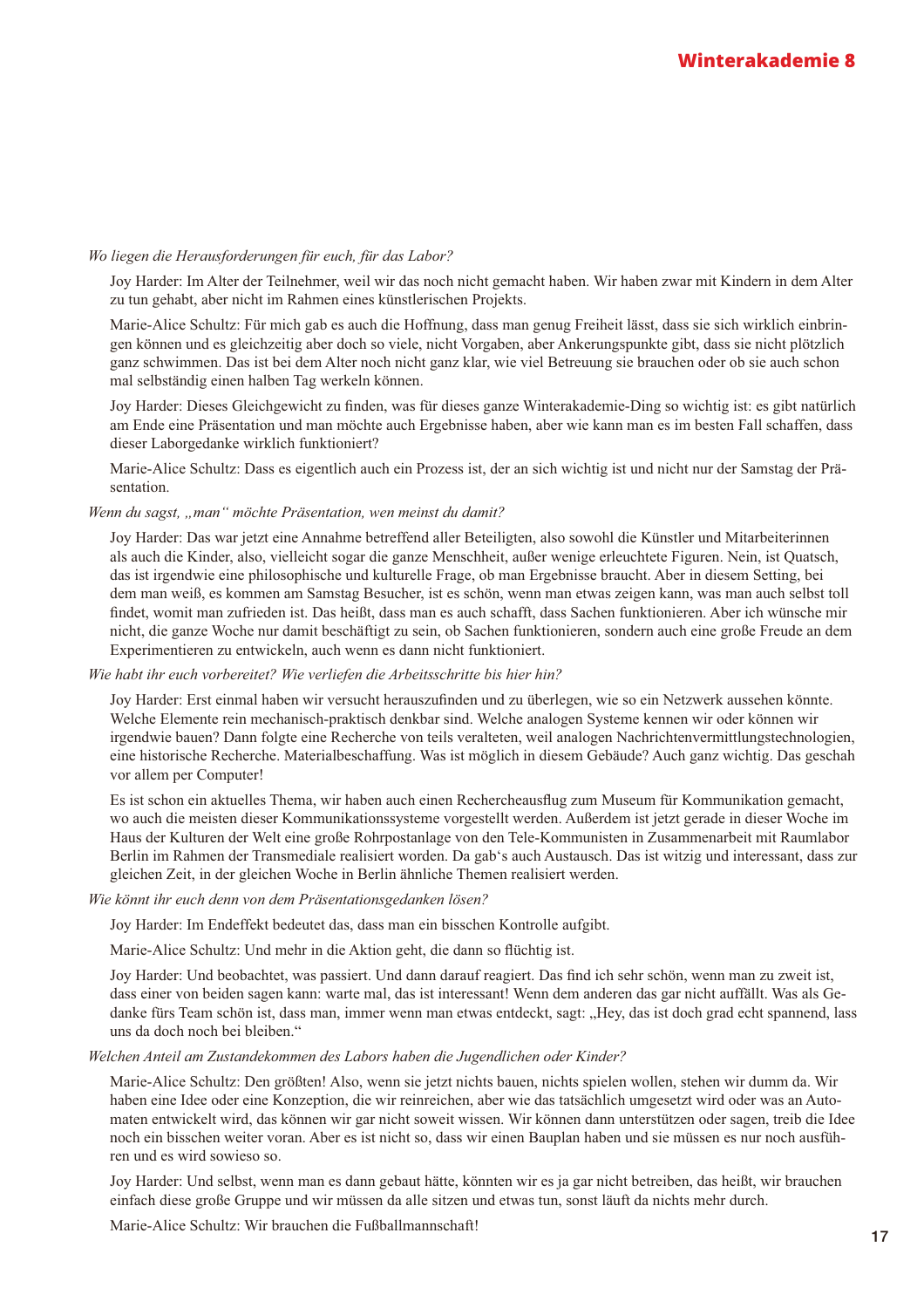#### Wo liegen die Herausforderungen für euch, für das Labor?

Joy Harder: Im Alter der Teilnehmer, weil wir das noch nicht gemacht haben. Wir haben zwar mit Kindern in dem Alter zu tun gehabt, aber nicht im Rahmen eines künstlerischen Projekts.

Marie-Alice Schultz: Für mich gab es auch die Hoffnung, dass man genug Freiheit lässt, dass sie sich wirklich einbringen können und es gleichzeitig aber doch so viele, nicht Vorgaben, aber Ankerungspunkte gibt, dass sie nicht plötzlich ganz schwimmen. Das ist bei dem Alter noch nicht ganz klar, wie viel Betreuung sie brauchen oder ob sie auch schon mal selbständig einen halben Tag werkeln können.

Joy Harder: Dieses Gleichgewicht zu finden, was für dieses ganze Winterakademie-Ding so wichtig ist: es gibt natürlich am Ende eine Präsentation und man möchte auch Ergebnisse haben, aber wie kann man es im besten Fall schaffen, dass dieser Laborgedanke wirklich funktioniert?

Marie-Alice Schultz: Dass es eigentlich auch ein Prozess ist, der an sich wichtig ist und nicht nur der Samstag der Präsentation.

#### Wenn du sagst, "man" möchte Präsentation, wen meinst du damit?

Joy Harder: Das war jetzt eine Annahme betreffend aller Beteiligten, also sowohl die Künstler und Mitarbeiterinnen als auch die Kinder, also, vielleicht sogar die ganze Menschheit, außer wenige erleuchtete Figuren. Nein, ist Ouatsch, das ist irgendwie eine philosophische und kulturelle Frage, ob man Ergebnisse braucht. Aber in diesem Setting, bei dem man weiß, es kommen am Samstag Besucher, ist es schön, wenn man etwas zeigen kann, was man auch selbst toll findet, womit man zufrieden ist. Das heißt, dass man es auch schafft, dass Sachen funktionieren. Aber ich wünsche mir nicht, die ganze Woche nur damit beschäftigt zu sein, ob Sachen funktionieren, sondern auch eine große Freude an dem Experimentieren zu entwickeln, auch wenn es dann nicht funktioniert.

#### Wie habt ihr euch vorbereitet? Wie verliefen die Arbeitsschritte bis hier hin?

Joy Harder: Erst einmal haben wir versucht herauszufinden und zu überlegen, wie so ein Netzwerk aussehen könnte. Welche Elemente rein mechanisch-praktisch denkbar sind. Welche analogen Systeme kennen wir oder können wir irgendwie bauen? Dann folgte eine Recherche von teils veralteten, weil analogen Nachrichtenvermittlungstechnologien, eine historische Recherche. Materialbeschaffung. Was ist möglich in diesem Gebäude? Auch ganz wichtig. Das geschah vor allem per Computer!

Es ist schon ein aktuelles Thema, wir haben auch einen Rechercheausflug zum Museum für Kommunikation gemacht, wo auch die meisten dieser Kommunikationssysteme vorgestellt werden. Außerdem ist jetzt gerade in dieser Woche im Haus der Kulturen der Welt eine große Rohrpostanlage von den Tele-Kommunisten in Zusammenarbeit mit Raumlabor Berlin im Rahmen der Transmediale realisiert worden. Da gab's auch Austausch. Das ist witzig und interessant, dass zur gleichen Zeit, in der gleichen Woche in Berlin ähnliche Themen realisiert werden.

#### Wie könnt ihr euch denn von dem Präsentationsgedanken lösen?

Joy Harder: Im Endeffekt bedeutet das, dass man ein bisschen Kontrolle aufgibt.

Marie-Alice Schultz: Und mehr in die Aktion geht, die dann so flüchtig ist.

Joy Harder: Und beobachtet, was passiert. Und dann darauf reagiert. Das find ich sehr schön, wenn man zu zweit ist, dass einer von beiden sagen kann: warte mal, das ist interessant! Wenn dem anderen das gar nicht auffällt. Was als Gedanke fürs Team schön ist, dass man, immer wenn man etwas entdeckt, sagt: "Hey, das ist doch grad echt spannend, lass uns da doch noch bei bleiben."

#### Welchen Anteil am Zustandekommen des Labors haben die Jugendlichen oder Kinder?

Marie-Alice Schultz: Den größten! Also, wenn sie jetzt nichts bauen, nichts spielen wollen, stehen wir dumm da. Wir haben eine Idee oder eine Konzeption, die wir reinreichen, aber wie das tatsächlich umgesetzt wird oder was an Automaten entwickelt wird, das können wir gar nicht soweit wissen. Wir können dann unterstützen oder sagen, treib die Idee noch ein bisschen weiter voran. Aber es ist nicht so, dass wir einen Bauplan haben und sie müssen es nur noch ausführen und es wird sowieso so.

Joy Harder: Und selbst, wenn man es dann gebaut hätte, könnten wir es ja gar nicht betreiben, das heißt, wir brauchen einfach diese große Gruppe und wir müssen da alle sitzen und etwas tun, sonst läuft da nichts mehr durch.

Marie-Alice Schultz: Wir brauchen die Fußballmannschaft!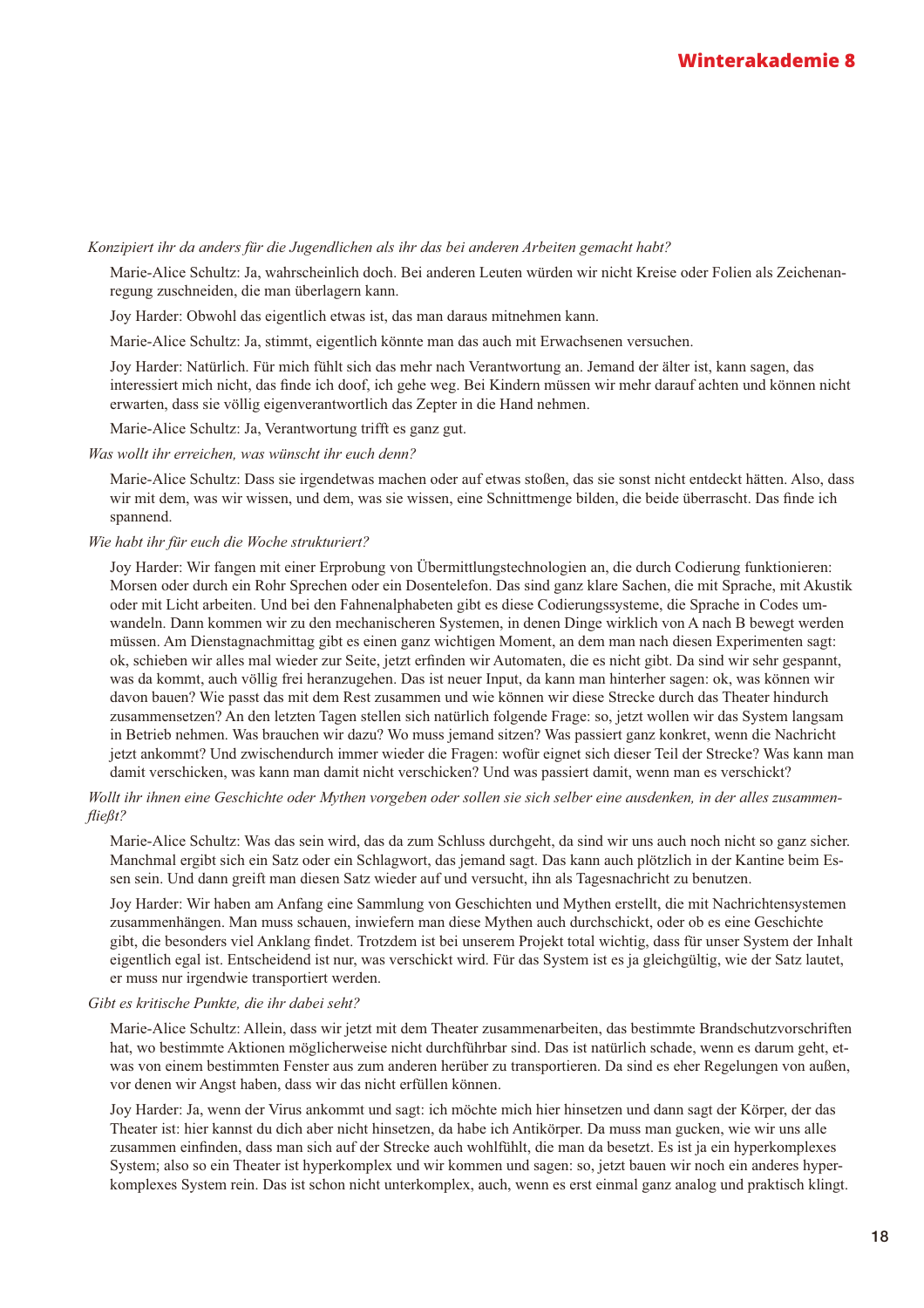#### Konzipiert ihr da anders für die Jugendlichen als ihr das bei anderen Arbeiten gemacht habt?

Marie-Alice Schultz: Ja, wahrscheinlich doch. Bei anderen Leuten würden wir nicht Kreise oder Folien als Zeichenanregung zuschneiden, die man überlagern kann.

Joy Harder: Obwohl das eigentlich etwas ist, das man daraus mitnehmen kann.

Marie-Alice Schultz: Ja, stimmt, eigentlich könnte man das auch mit Erwachsenen versuchen.

Joy Harder: Natürlich. Für mich fühlt sich das mehr nach Verantwortung an. Jemand der älter ist, kann sagen, das interessiert mich nicht, das finde ich doof, ich gehe weg. Bei Kindern müssen wir mehr darauf achten und können nicht erwarten, dass sie völlig eigenverantwortlich das Zepter in die Hand nehmen.

Marie-Alice Schultz: Ja, Verantwortung trifft es ganz gut.

Was wollt ihr erreichen, was wünscht ihr euch denn?

Marie-Alice Schultz: Dass sie irgendetwas machen oder auf etwas stoßen, das sie sonst nicht entdeckt hätten. Also, dass wir mit dem, was wir wissen, und dem, was sie wissen, eine Schnittmenge bilden, die beide überrascht. Das finde ich spannend.

#### Wie habt ihr für euch die Woche strukturiert?

Joy Harder: Wir fangen mit einer Erprobung von Übermittlungstechnologien an, die durch Codierung funktionieren: Morsen oder durch ein Rohr Sprechen oder ein Dosentelefon. Das sind ganz klare Sachen, die mit Sprache, mit Akustik oder mit Licht arbeiten. Und bei den Fahnenalphabeten gibt es diese Codierungssysteme, die Sprache in Codes umwandeln. Dann kommen wir zu den mechanischeren Systemen, in denen Dinge wirklich von A nach B bewegt werden müssen. Am Dienstagnachmittag gibt es einen ganz wichtigen Moment, an dem man nach diesen Experimenten sagt: ok, schieben wir alles mal wieder zur Seite, jetzt erfinden wir Automaten, die es nicht gibt. Da sind wir sehr gespannt, was da kommt, auch völlig frei heranzugehen. Das ist neuer Input, da kann man hinterher sagen: ok, was können wir davon bauen? Wie passt das mit dem Rest zusammen und wie können wir diese Strecke durch das Theater hindurch zusammensetzen? An den letzten Tagen stellen sich natürlich folgende Frage: so, jetzt wollen wir das System langsam in Betrieb nehmen. Was brauchen wir dazu? Wo muss jemand sitzen? Was passiert ganz konkret, wenn die Nachricht jetzt ankommt? Und zwischendurch immer wieder die Fragen: wofür eignet sich dieser Teil der Strecke? Was kann man damit verschicken, was kann man damit nicht verschicken? Und was passiert damit, wenn man es verschickt?

Wollt ihr ihnen eine Geschichte oder Mythen vorgeben oder sollen sie sich selber eine ausdenken, in der alles zusammen $fileBt?$ 

Marie-Alice Schultz: Was das sein wird, das da zum Schluss durchgeht, da sind wir uns auch noch nicht so ganz sicher. Manchmal ergibt sich ein Satz oder ein Schlagwort, das jemand sagt. Das kann auch plötzlich in der Kantine beim Essen sein. Und dann greift man diesen Satz wieder auf und versucht, ihn als Tagesnachricht zu benutzen.

Joy Harder: Wir haben am Anfang eine Sammlung von Geschichten und Mythen erstellt, die mit Nachrichtensystemen zusammenhängen. Man muss schauen, inwiefern man diese Mythen auch durchschickt, oder ob es eine Geschichte gibt, die besonders viel Anklang findet. Trotzdem ist bei unserem Projekt total wichtig, dass für unser System der Inhalt eigentlich egal ist. Entscheidend ist nur, was verschickt wird. Für das System ist es ja gleichgültig, wie der Satz lautet, er muss nur irgendwie transportiert werden.

#### Gibt es kritische Punkte, die ihr dabei seht?

Marie-Alice Schultz: Allein, dass wir jetzt mit dem Theater zusammenarbeiten, das bestimmte Brandschutzvorschriften hat, wo bestimmte Aktionen möglicherweise nicht durchführbar sind. Das ist natürlich schade, wenn es darum geht, etwas von einem bestimmten Fenster aus zum anderen herüber zu transportieren. Da sind es eher Regelungen von außen, vor denen wir Angst haben, dass wir das nicht erfüllen können.

Joy Harder: Ja, wenn der Virus ankommt und sagt: ich möchte mich hier hinsetzen und dann sagt der Körper, der das Theater ist: hier kannst du dich aber nicht hinsetzen, da habe ich Antikörper. Da muss man gucken, wie wir uns alle zusammen einfinden, dass man sich auf der Strecke auch wohlfühlt, die man da besetzt. Es ist ja ein hyperkomplexes System; also so ein Theater ist hyperkomplex und wir kommen und sagen: so, jetzt bauen wir noch ein anderes hyperkomplexes System rein. Das ist schon nicht unterkomplex, auch, wenn es erst einmal ganz analog und praktisch klingt.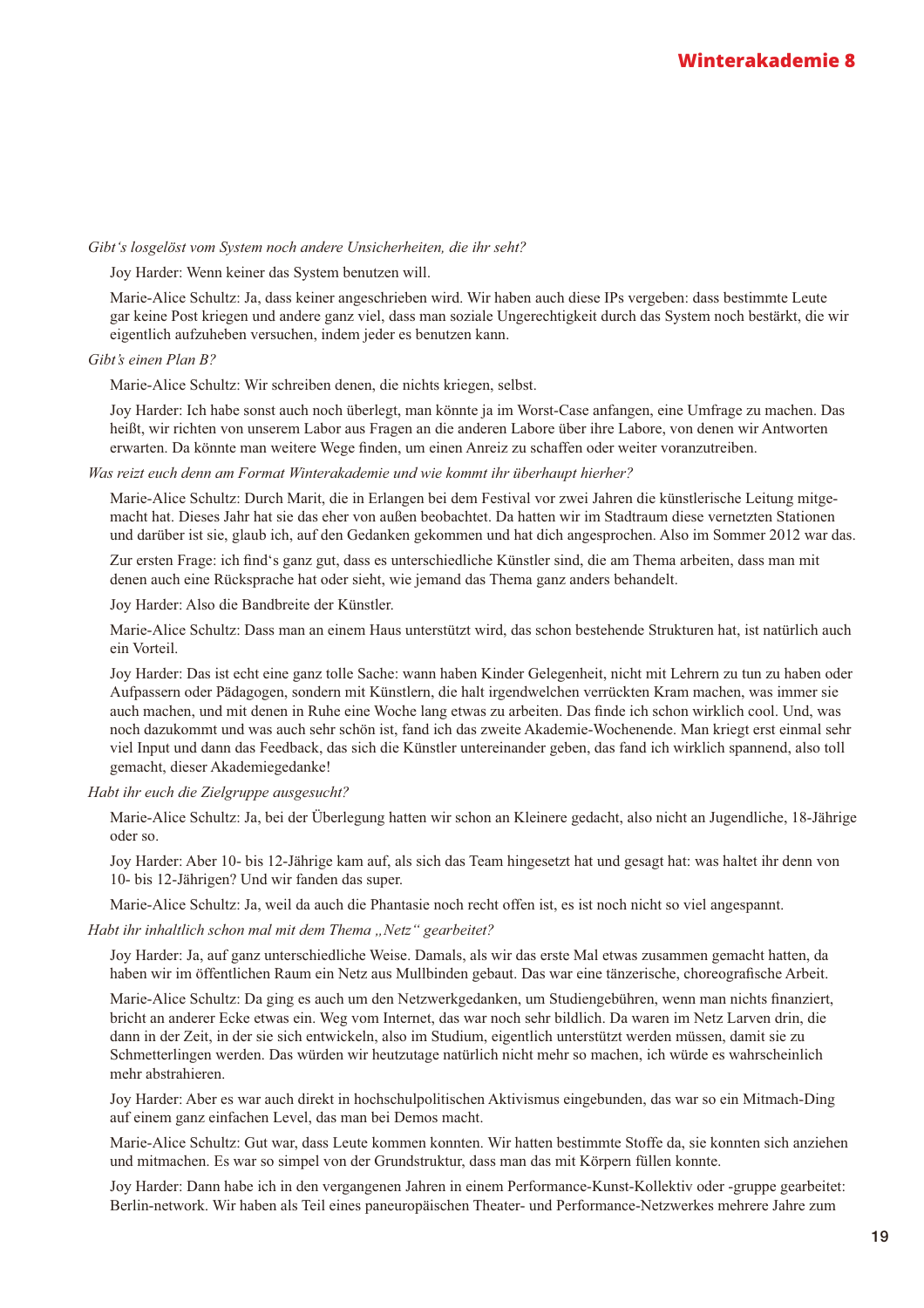#### Gibt's losgelöst vom System noch andere Unsicherheiten, die ihr seht?

Joy Harder: Wenn keiner das System benutzen will.

Marie-Alice Schultz: Ja, dass keiner angeschrieben wird. Wir haben auch diese IPs vergeben: dass bestimmte Leute gar keine Post kriegen und andere ganz viel, dass man soziale Ungerechtigkeit durch das System noch bestärkt, die wir eigentlich aufzuheben versuchen, indem jeder es benutzen kann.

#### Gibt's einen Plan B?

Marie-Alice Schultz: Wir schreiben denen, die nichts kriegen, selbst.

Joy Harder: Ich habe sonst auch noch überlegt, man könnte ja im Worst-Case anfangen, eine Umfrage zu machen. Das heißt, wir richten von unserem Labor aus Fragen an die anderen Labore über ihre Labore, von denen wir Antworten erwarten. Da könnte man weitere Wege finden, um einen Anreiz zu schaffen oder weiter voranzutreiben.

#### Was reizt euch denn am Format Winterakademie und wie kommt ihr überhaupt hierher?

Marie-Alice Schultz: Durch Marit, die in Erlangen bei dem Festival vor zwei Jahren die künstlerische Leitung mitgemacht hat. Dieses Jahr hat sie das eher von außen beobachtet. Da hatten wir im Stadtraum diese vernetzten Stationen und darüber ist sie, glaub ich, auf den Gedanken gekommen und hat dich angesprochen. Also im Sommer 2012 war das.

Zur ersten Frage: ich find's ganz gut, dass es unterschiedliche Künstler sind, die am Thema arbeiten, dass man mit denen auch eine Rücksprache hat oder sieht, wie jemand das Thema ganz anders behandelt.

Joy Harder: Also die Bandbreite der Künstler.

Marie-Alice Schultz: Dass man an einem Haus unterstützt wird, das schon bestehende Strukturen hat, ist natürlich auch ein Vorteil.

Joy Harder: Das ist echt eine ganz tolle Sache: wann haben Kinder Gelegenheit, nicht mit Lehrern zu tun zu haben oder Aufpassern oder Pädagogen, sondern mit Künstlern, die halt irgendwelchen verrückten Kram machen, was immer sie auch machen, und mit denen in Ruhe eine Woche lang etwas zu arbeiten. Das finde ich schon wirklich cool. Und, was noch dazukommt und was auch sehr schön ist, fand ich das zweite Akademie-Wochenende. Man kriegt erst einmal sehr viel Input und dann das Feedback, das sich die Künstler untereinander geben, das fand ich wirklich spannend, also toll gemacht, dieser Akademiegedanke!

Habt ihr euch die Zielgruppe ausgesucht?

Marie-Alice Schultz: Ja, bei der Überlegung hatten wir schon an Kleinere gedacht, also nicht an Jugendliche, 18-Jährige oder so.

Joy Harder: Aber 10- bis 12-Jährige kam auf, als sich das Team hingesetzt hat und gesagt hat: was haltet ihr denn von 10- bis 12-Jährigen? Und wir fanden das super.

Marie-Alice Schultz: Ja, weil da auch die Phantasie noch recht offen ist, es ist noch nicht so viel angespannt.

Habt ihr inhaltlich schon mal mit dem Thema "Netz" gearbeitet?

Joy Harder: Ja, auf ganz unterschiedliche Weise. Damals, als wir das erste Mal etwas zusammen gemacht hatten, da haben wir im öffentlichen Raum ein Netz aus Mullbinden gebaut. Das war eine tänzerische, choreografische Arbeit.

Marie-Alice Schultz: Da ging es auch um den Netzwerkgedanken, um Studiengebühren, wenn man nichts finanziert, bricht an anderer Ecke etwas ein. Weg vom Internet, das war noch sehr bildlich. Da waren im Netz Larven drin, die dann in der Zeit, in der sie sich entwickeln, also im Studium, eigentlich unterstützt werden müssen, damit sie zu Schmetterlingen werden. Das würden wir heutzutage natürlich nicht mehr so machen, ich würde es wahrscheinlich mehr abstrahieren.

Joy Harder: Aber es war auch direkt in hochschulpolitischen Aktivismus eingebunden, das war so ein Mitmach-Ding auf einem ganz einfachen Level, das man bei Demos macht.

Marie-Alice Schultz: Gut war, dass Leute kommen konnten. Wir hatten bestimmte Stoffe da, sie konnten sich anziehen und mitmachen. Es war so simpel von der Grundstruktur, dass man das mit Körpern füllen konnte.

Joy Harder: Dann habe ich in den vergangenen Jahren in einem Performance-Kunst-Kollektiv oder -gruppe gearbeitet: Berlin-network. Wir haben als Teil eines paneuropäischen Theater- und Performance-Netzwerkes mehrere Jahre zum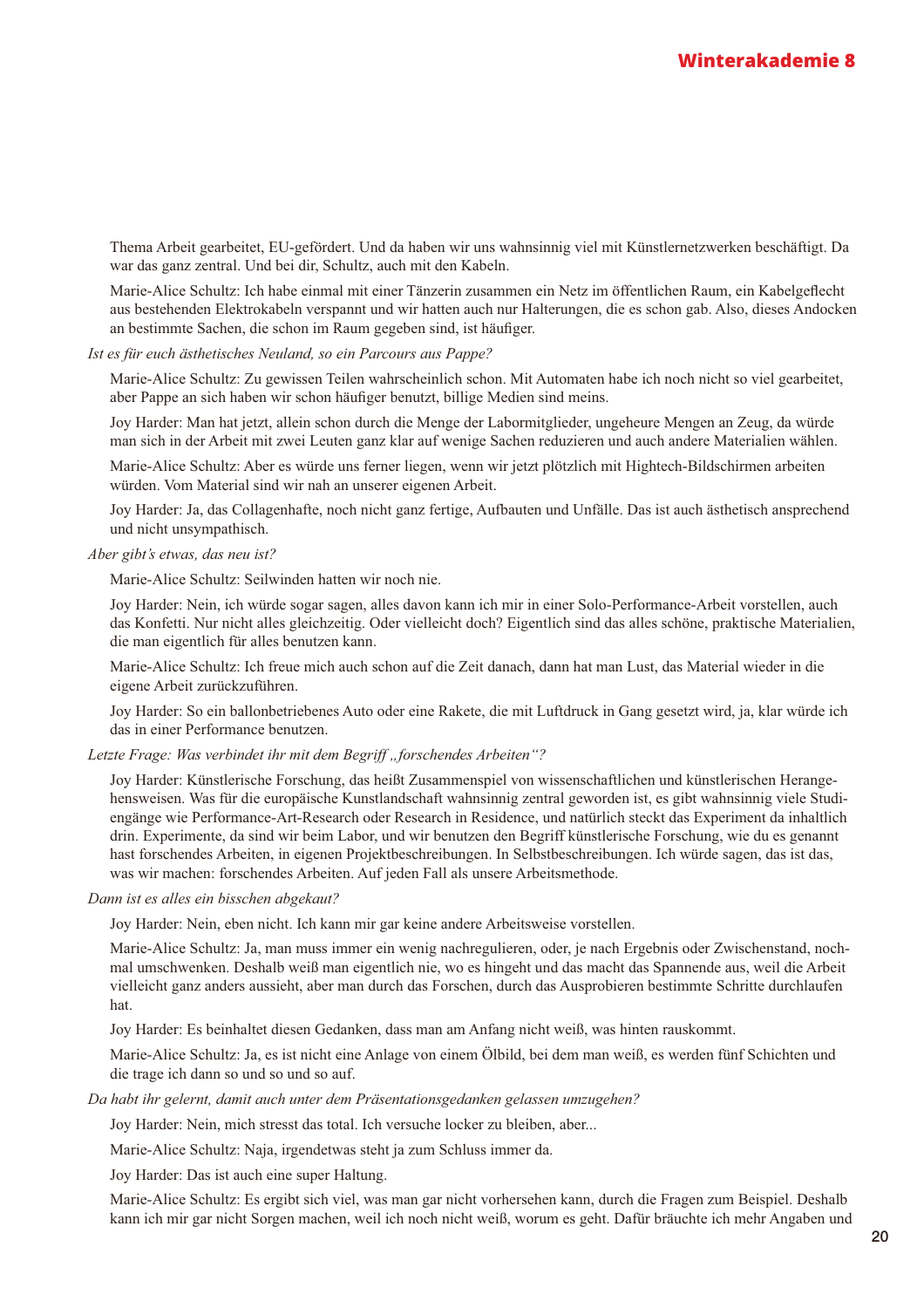Thema Arbeit gearbeitet, EU-gefördert. Und da haben wir uns wahnsinnig viel mit Künstlernetzwerken beschäftigt. Da war das ganz zentral. Und bei dir. Schultz, auch mit den Kabeln.

Marie-Alice Schultz: Ich habe einmal mit einer Tänzerin zusammen ein Netz im öffentlichen Raum, ein Kabelgeflecht aus bestehenden Elektrokabeln verspannt und wir hatten auch nur Halterungen, die es schon gab. Also, dieses Andocken an bestimmte Sachen, die schon im Raum gegeben sind, ist häufiger.

#### Ist es für euch ästhetisches Neuland, so ein Parcours aus Pappe?

Marie-Alice Schultz: Zu gewissen Teilen wahrscheinlich schon. Mit Automaten habe ich noch nicht so viel gearbeitet, aber Pappe an sich haben wir schon häufiger benutzt, billige Medien sind meins.

Joy Harder: Man hat jetzt, allein schon durch die Menge der Labormitglieder, ungeheure Mengen an Zeug, da würde man sich in der Arbeit mit zwei Leuten ganz klar auf wenige Sachen reduzieren und auch andere Materialien wählen.

Marie-Alice Schultz: Aber es würde uns ferner liegen, wenn wir jetzt plötzlich mit Hightech-Bildschirmen arbeiten würden. Vom Material sind wir nah an unserer eigenen Arbeit.

Joy Harder: Ja, das Collagenhafte, noch nicht ganz fertige, Aufbauten und Unfälle. Das ist auch ästhetisch ansprechend und nicht unsympathisch.

#### Aber gibt's etwas, das neu ist?

Marie-Alice Schultz: Seilwinden hatten wir noch nie.

Joy Harder: Nein, ich würde sogar sagen, alles davon kann ich mir in einer Solo-Performance-Arbeit vorstellen, auch das Konfetti. Nur nicht alles gleichzeitig. Oder vielleicht doch? Eigentlich sind das alles schöne, praktische Materialien, die man eigentlich für alles benutzen kann.

Marie-Alice Schultz: Ich freue mich auch schon auf die Zeit danach, dann hat man Lust, das Material wieder in die eigene Arbeit zurückzuführen.

Joy Harder: So ein ballonbetriebenes Auto oder eine Rakete, die mit Luftdruck in Gang gesetzt wird, ja, klar würde ich das in einer Performance benutzen.

#### Letzte Frage: Was verbindet ihr mit dem Begriff "forschendes Arbeiten"?

Joy Harder: Künstlerische Forschung, das heißt Zusammenspiel von wissenschaftlichen und künstlerischen Herangehensweisen. Was für die europäische Kunstlandschaft wahnsinnig zentral geworden ist, es gibt wahnsinnig viele Studiengänge wie Performance-Art-Research oder Research in Residence, und natürlich steckt das Experiment da inhaltlich drin. Experimente, da sind wir beim Labor, und wir benutzen den Begriff künstlerische Forschung, wie du es genannt hast forschendes Arbeiten, in eigenen Projektbeschreibungen. In Selbstbeschreibungen. Ich würde sagen, das ist das, was wir machen: forschendes Arbeiten. Auf jeden Fall als unsere Arbeitsmethode.

#### Dann ist es alles ein bisschen abgekaut?

Joy Harder: Nein, eben nicht. Ich kann mir gar keine andere Arbeitsweise vorstellen.

Marie-Alice Schultz: Ja, man muss immer ein wenig nachregulieren, oder, je nach Ergebnis oder Zwischenstand, nochmal umschwenken. Deshalb weiß man eigentlich nie, wo es hingeht und das macht das Spannende aus, weil die Arbeit vielleicht ganz anders aussieht, aber man durch das Forschen, durch das Ausprobieren bestimmte Schritte durchlaufen hat.

Joy Harder: Es beinhaltet diesen Gedanken, dass man am Anfang nicht weiß, was hinten rauskommt.

Marie-Alice Schultz: Ja, es ist nicht eine Anlage von einem Ölbild, bei dem man weiß, es werden fünf Schichten und die trage ich dann so und so und so auf.

#### Da habt ihr gelernt, damit auch unter dem Präsentationsgedanken gelassen umzugehen?

Joy Harder: Nein, mich stresst das total. Ich versuche locker zu bleiben, aber...

Marie-Alice Schultz: Naja, irgendetwas steht ja zum Schluss immer da.

Joy Harder: Das ist auch eine super Haltung.

Marie-Alice Schultz: Es ergibt sich viel, was man gar nicht vorhersehen kann, durch die Fragen zum Beispiel. Deshalb kann ich mir gar nicht Sorgen machen, weil ich noch nicht weiß, worum es geht. Dafür bräuchte ich mehr Angaben und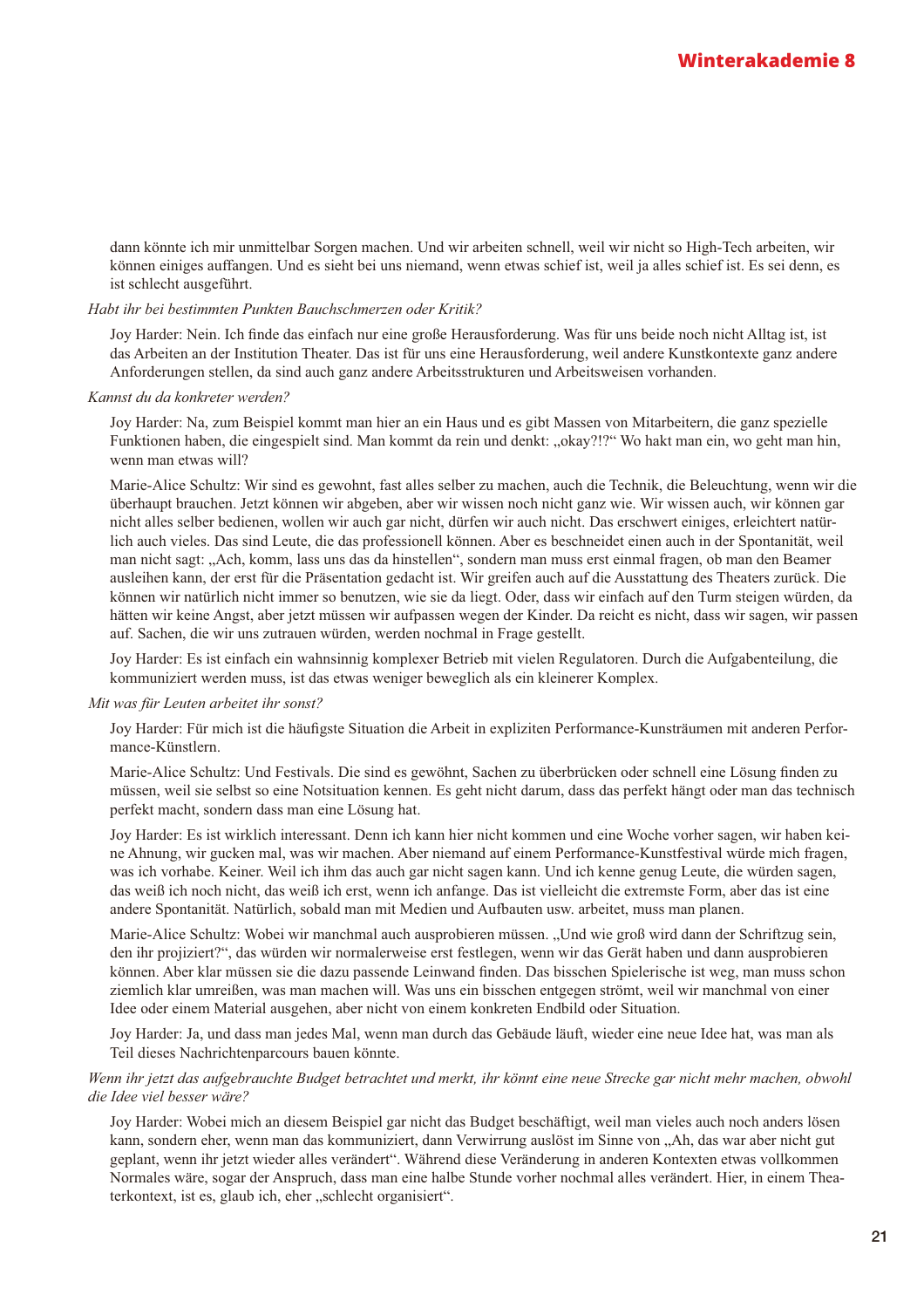dann könnte ich mir unmittelbar Sorgen machen. Und wir arbeiten schnell, weil wir nicht so High-Tech arbeiten, wir können einiges auffangen. Und es sieht bei uns niemand, wenn etwas schief ist, weil ja alles schief ist. Es sei denn, es ist schlecht ausgeführt.

#### Habt ihr bei bestimmten Punkten Bauchschmerzen oder Kritik?

Joy Harder: Nein. Ich finde das einfach nur eine große Herausforderung. Was für uns beide noch nicht Alltag ist, ist das Arbeiten an der Institution Theater. Das ist für uns eine Herausforderung, weil andere Kunstkontexte ganz andere Anforderungen stellen, da sind auch ganz andere Arbeitsstrukturen und Arbeitsweisen vorhanden.

#### Kannst du da konkreter werden?

Joy Harder: Na, zum Beispiel kommt man hier an ein Haus und es gibt Massen von Mitarbeitern, die ganz spezielle Funktionen haben, die eingespielt sind. Man kommt da rein und denkt: "okay?!?" Wo hakt man ein, wo geht man hin, wenn man etwas will?

Marie-Alice Schultz: Wir sind es gewohnt, fast alles selber zu machen, auch die Technik, die Beleuchtung, wenn wir die überhaupt brauchen. Jetzt können wir abgeben, aber wir wissen noch nicht ganz wie. Wir wissen auch, wir können gar nicht alles selber bedienen, wollen wir auch gar nicht, dürfen wir auch nicht. Das erschwert einiges, erleichtert natürlich auch vieles. Das sind Leute, die das professionell können. Aber es beschneidet einen auch in der Spontanität, weil man nicht sagt: "Ach, komm, lass uns das da hinstellen", sondern man muss erst einmal fragen, ob man den Beamer ausleihen kann, der erst für die Präsentation gedacht ist. Wir greifen auch auf die Ausstattung des Theaters zurück. Die können wir natürlich nicht immer so benutzen, wie sie da liegt. Oder, dass wir einfach auf den Turm steigen würden, da hätten wir keine Angst, aber jetzt müssen wir aufpassen wegen der Kinder. Da reicht es nicht, dass wir sagen, wir passen auf. Sachen, die wir uns zutrauen würden, werden nochmal in Frage gestellt.

Joy Harder: Es ist einfach ein wahnsinnig komplexer Betrieb mit vielen Regulatoren. Durch die Aufgabenteilung, die kommuniziert werden muss, ist das etwas weniger beweglich als ein kleinerer Komplex.

#### Mit was für Leuten arbeitet ihr sonst?

Joy Harder: Für mich ist die häufigste Situation die Arbeit in expliziten Performance-Kunsträumen mit anderen Performance-Künstlern.

Marie-Alice Schultz: Und Festivals. Die sind es gewöhnt, Sachen zu überbrücken oder schnell eine Lösung finden zu müssen, weil sie selbst so eine Notsituation kennen. Es geht nicht darum, dass das perfekt hängt oder man das technisch perfekt macht, sondern dass man eine Lösung hat.

Joy Harder: Es ist wirklich interessant. Denn ich kann hier nicht kommen und eine Woche vorher sagen, wir haben keine Ahnung, wir gucken mal, was wir machen. Aber niemand auf einem Performance-Kunstfestival würde mich fragen, was ich vorhabe. Keiner. Weil ich ihm das auch gar nicht sagen kann. Und ich kenne genug Leute, die würden sagen, das weiß ich noch nicht, das weiß ich erst, wenn ich anfange. Das ist vielleicht die extremste Form, aber das ist eine andere Spontanität. Natürlich, sobald man mit Medien und Aufbauten usw. arbeitet, muss man planen.

Marie-Alice Schultz: Wobei wir manchmal auch ausprobieren müssen. "Und wie groß wird dann der Schriftzug sein, den ihr projiziert?", das würden wir normalerweise erst festlegen, wenn wir das Gerät haben und dann ausprobieren können. Aber klar müssen sie die dazu passende Leinwand finden. Das bisschen Spielerische ist weg, man muss schon ziemlich klar umreißen, was man machen will. Was uns ein bisschen entgegen strömt, weil wir manchmal von einer Idee oder einem Material ausgehen, aber nicht von einem konkreten Endbild oder Situation.

Joy Harder: Ja, und dass man jedes Mal, wenn man durch das Gebäude läuft, wieder eine neue Idee hat, was man als Teil dieses Nachrichtenparcours bauen könnte.

Wenn ihr jetzt das aufgebrauchte Budget betrachtet und merkt, ihr könnt eine neue Strecke gar nicht mehr machen, obwohl die Idee viel besser wäre?

Joy Harder: Wobei mich an diesem Beispiel gar nicht das Budget beschäftigt, weil man vieles auch noch anders lösen kann, sondern eher, wenn man das kommuniziert, dann Verwirrung auslöst im Sinne von "Ah, das war aber nicht gut geplant, wenn ihr jetzt wieder alles verändert". Während diese Veränderung in anderen Kontexten etwas vollkommen Normales wäre, sogar der Anspruch, dass man eine halbe Stunde vorher nochmal alles verändert. Hier, in einem Theaterkontext, ist es, glaub ich, eher "schlecht organisiert".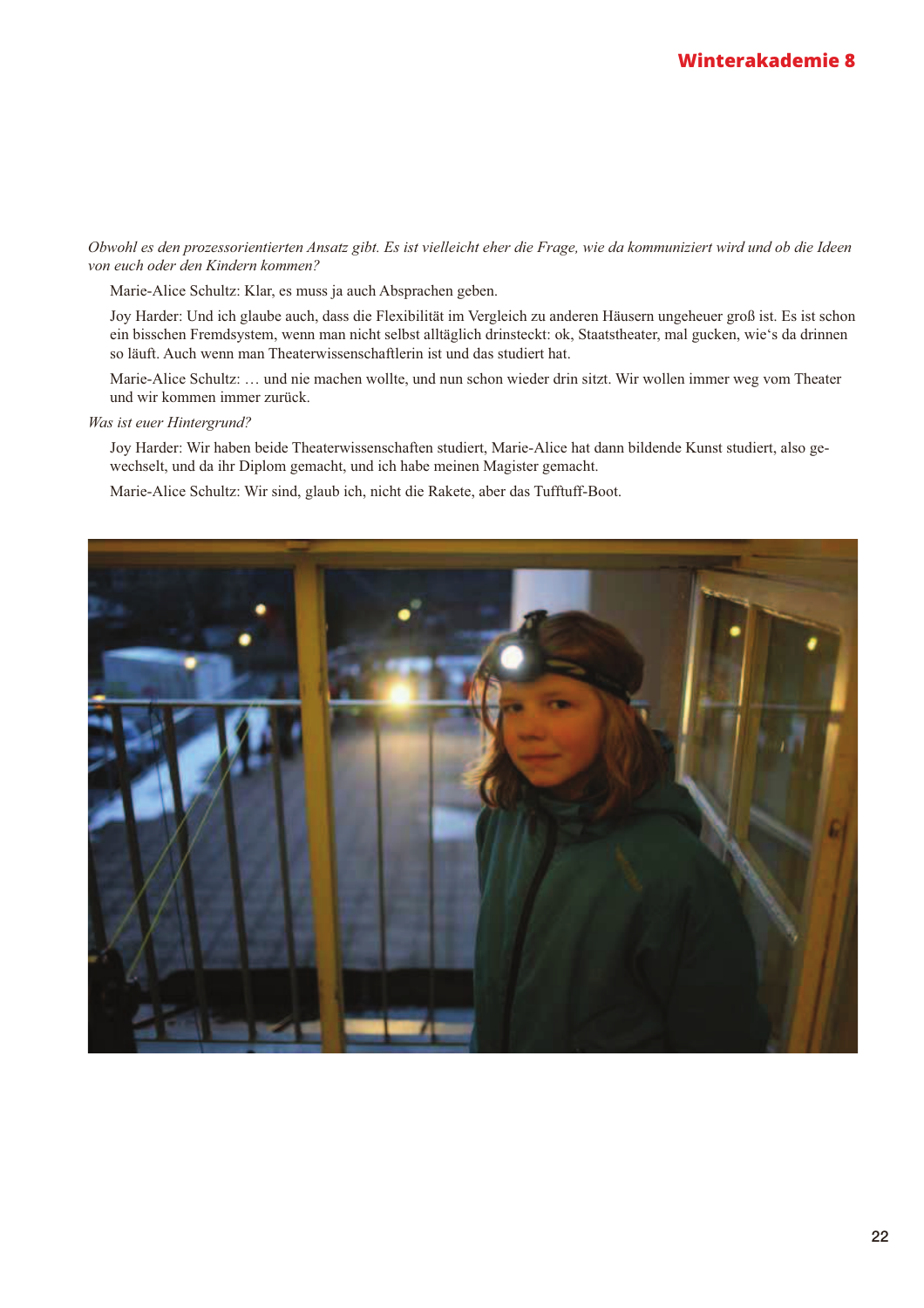#### Obwohl es den prozessorientierten Ansatz gibt. Es ist vielleicht eher die Frage, wie da kommuniziert wird und ob die Ideen von euch oder den Kindern kommen?

Marie-Alice Schultz: Klar, es muss ja auch Absprachen geben.

Joy Harder: Und ich glaube auch, dass die Flexibilität im Vergleich zu anderen Häusern ungeheuer groß ist. Es ist schon ein bisschen Fremdsystem, wenn man nicht selbst alltäglich drinsteckt: ok, Staatstheater, mal gucken, wie's da drinnen so läuft. Auch wenn man Theaterwissenschaftlerin ist und das studiert hat.

Marie-Alice Schultz: ... und nie machen wollte, und nun schon wieder drin sitzt. Wir wollen immer weg vom Theater und wir kommen immer zurück.

#### Was ist euer Hintergrund?

Joy Harder: Wir haben beide Theaterwissenschaften studiert, Marie-Alice hat dann bildende Kunst studiert, also gewechselt, und da ihr Diplom gemacht, und ich habe meinen Magister gemacht.

Marie-Alice Schultz: Wir sind, glaub ich, nicht die Rakete, aber das Tufftuff-Boot.

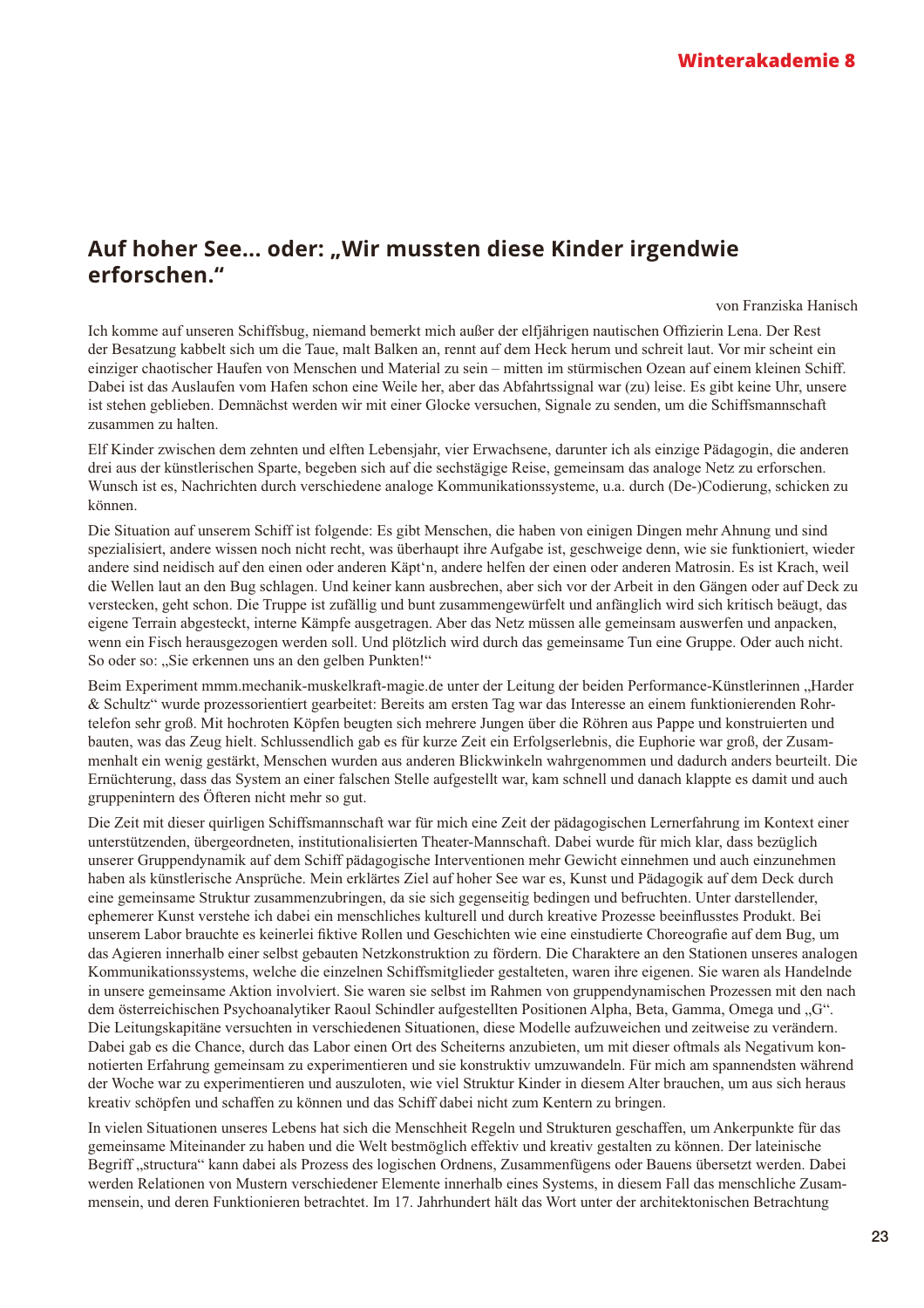### Auf hoher See... oder: "Wir mussten diese Kinder irgendwie erforschen."

von Franziska Hanisch

Ich komme auf unseren Schiffsbug, niemand bemerkt mich außer der elfjährigen nautischen Offizierin Lena. Der Rest der Besatzung kabbelt sich um die Taue, malt Balken an. rennt auf dem Heck herum und schreit laut. Vor mir scheint ein einziger chaotischer Haufen von Menschen und Material zu sein – mitten im stürmischen Ozean auf einem kleinen Schiff. Dabei ist das Auslaufen vom Hafen schon eine Weile her, aber das Abfahrtssignal war (zu) leise. Es gibt keine Uhr, unsere ist stehen geblieben. Demnächst werden wir mit einer Glocke versuchen. Signale zu senden, um die Schiffsmannschaft zusammen zu halten.

Elf Kinder zwischen dem zehnten und elften Lebensjahr, vier Erwachsene, darunter ich als einzige Pädagogin, die anderen drei aus der künstlerischen Sparte, begeben sich auf die sechstägige Reise, gemeinsam das analoge Netz zu erforschen. Wunsch ist es, Nachrichten durch verschiedene analoge Kommunikationssysteme, u.a. durch (De-)Codierung, schicken zu können.

Die Situation auf unserem Schiff ist folgende: Es gibt Menschen, die haben von einigen Dingen mehr Ahnung und sind spezialisiert, andere wissen noch nicht recht, was überhaupt ihre Aufgabe ist, geschweige denn, wie sie funktioniert, wieder andere sind neidisch auf den einen oder anderen Käpt'n, andere helfen der einen oder anderen Matrosin. Es ist Krach, weil die Wellen laut an den Bug schlagen. Und keiner kann ausbrechen, aber sich vor der Arbeit in den Gängen oder auf Deck zu verstecken, geht schon. Die Truppe ist zufällig und bunt zusammengewürfelt und anfänglich wird sich kritisch beäugt, das eigene Terrain abgesteckt, interne Kämpfe ausgetragen. Aber das Netz müssen alle gemeinsam auswerfen und anpacken, wenn ein Fisch herausgezogen werden soll. Und plötzlich wird durch das gemeinsame Tun eine Gruppe. Oder auch nicht. So oder so: "Sie erkennen uns an den gelben Punkten!"

Beim Experiment mmm.mechanik-muskelkraft-magie.de unter der Leitung der beiden Performance-Künstlerinnen "Harder & Schultz" wurde prozessorientiert gearbeitet: Bereits am ersten Tag war das Interesse an einem funktionierenden Rohrtelefon sehr groß. Mit hochroten Köpfen beugten sich mehrere Jungen über die Röhren aus Pappe und konstruierten und bauten, was das Zeug hielt. Schlussendlich gab es für kurze Zeit ein Erfolgserlebnis, die Euphorie war groß, der Zusammenhalt ein wenig gestärkt, Menschen wurden aus anderen Blickwinkeln wahrgenommen und dadurch anders beurteilt. Die Ernüchterung, dass das System an einer falschen Stelle aufgestellt war, kam schnell und danach klappte es damit und auch gruppenintern des Öfteren nicht mehr so gut.

Die Zeit mit dieser quirligen Schiffsmannschaft war für mich eine Zeit der pädagogischen Lernerfahrung im Kontext einer unterstützenden, übergeordneten, institutionalisierten Theater-Mannschaft. Dabei wurde für mich klar, dass bezüglich unserer Gruppendynamik auf dem Schiff pädagogische Interventionen mehr Gewicht einnehmen und auch einzunehmen haben als künstlerische Ansprüche. Mein erklärtes Ziel auf hoher See war es, Kunst und Pädagogik auf dem Deck durch eine gemeinsame Struktur zusammenzubringen, da sie sich gegenseitig bedingen und befruchten. Unter darstellender, ephemerer Kunst verstehe ich dabei ein menschliches kulturell und durch kreative Prozesse beeinflusstes Produkt. Bei unserem Labor brauchte es keinerlei fiktive Rollen und Geschichten wie eine einstudierte Choreografie auf dem Bug, um das Agieren innerhalb einer selbst gebauten Netzkonstruktion zu fördern. Die Charaktere an den Stationen unseres analogen Kommunikationssystems, welche die einzelnen Schiffsmitglieder gestalteten, waren ihre eigenen. Sie waren als Handelnde in unsere gemeinsame Aktion involviert. Sie waren sie selbst im Rahmen von gruppendynamischen Prozessen mit den nach dem österreichischen Psychoanalytiker Raoul Schindler aufgestellten Positionen Alpha, Beta, Gamma, Omega und "G". Die Leitungskapitäne versuchten in verschiedenen Situationen, diese Modelle aufzuweichen und zeitweise zu verändern. Dabei gab es die Chance, durch das Labor einen Ort des Scheiterns anzubieten, um mit dieser oftmals als Negativum konnotierten Erfahrung gemeinsam zu experimentieren und sie konstruktiv umzuwandeln. Für mich am spannendsten während der Woche war zu experimentieren und auszuloten, wie viel Struktur Kinder in diesem Alter brauchen, um aus sich heraus kreativ schöpfen und schaffen zu können und das Schiff dabei nicht zum Kentern zu bringen.

In vielen Situationen unseres Lebens hat sich die Menschheit Regeln und Strukturen geschaffen, um Ankerpunkte für das gemeinsame Miteinander zu haben und die Welt bestmöglich effektiv und kreativ gestalten zu können. Der lateinische Begriff "structura" kann dabei als Prozess des logischen Ordnens, Zusammenfügens oder Bauens übersetzt werden. Dabei werden Relationen von Mustern verschiedener Elemente innerhalb eines Systems, in diesem Fall das menschliche Zusammensein, und deren Funktionieren betrachtet. Im 17. Jahrhundert hält das Wort unter der architektonischen Betrachtung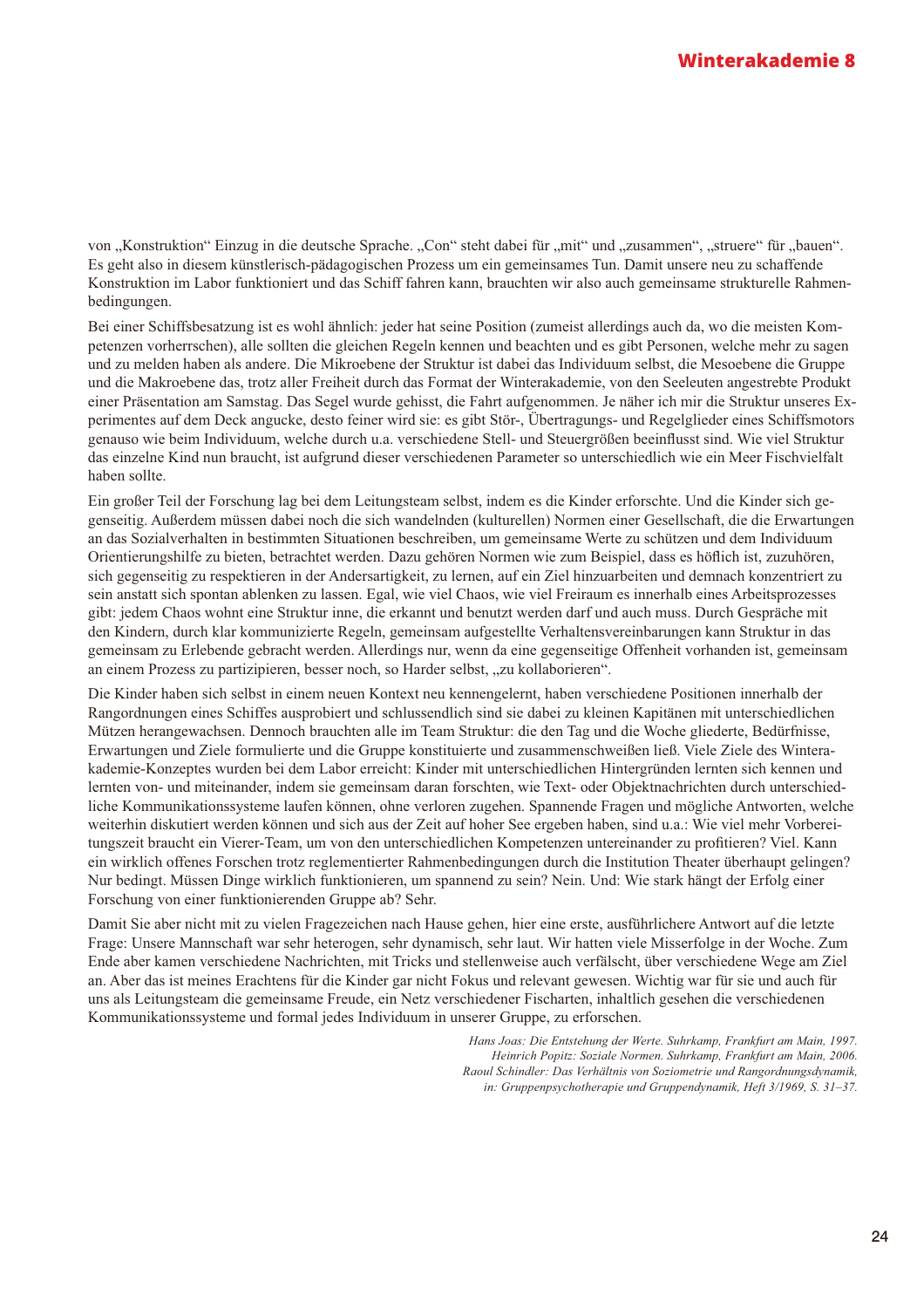von "Konstruktion" Einzug in die deutsche Sprache. "Con" steht dabei für "mit" und "zusammen", "struere" für "bauen". Es geht also in diesem künstlerisch-pädagogischen Prozess um ein gemeinsames Tun. Damit unsere neu zu schaffende Konstruktion im Labor funktioniert und das Schiff fahren kann, brauchten wir also auch gemeinsame strukturelle Rahmenbedingungen.

Bei einer Schiffsbesatzung ist es wohl ähnlich: jeder hat seine Position (zumeist allerdings auch da, wo die meisten Kompetenzen vorherrschen), alle sollten die gleichen Regeln kennen und beachten und es gibt Personen, welche mehr zu sagen und zu melden haben als andere. Die Mikroebene der Struktur ist dabei das Individuum selbst, die Mesoebene die Gruppe und die Makroebene das, trotz aller Freiheit durch das Format der Winterakademie, von den Seeleuten angestrebte Produkt einer Präsentation am Samstag. Das Segel wurde gehisst, die Fahrt aufgenommen. Je näher ich mir die Struktur unseres Experimentes auf dem Deck angucke, desto feiner wird sie: es gibt Stör-, Übertragungs- und Regelglieder eines Schiffsmotors genauso wie beim Individuum, welche durch u.a. verschiedene Stell- und Steuergrößen beeinflusst sind. Wie viel Struktur das einzelne Kind nun braucht, ist aufgrund dieser verschiedenen Parameter so unterschiedlich wie ein Meer Fischvielfalt haben sollte.

Ein großer Teil der Forschung lag bei dem Leitungsteam selbst, indem es die Kinder erforschte. Und die Kinder sich gegenseitig. Außerdem müssen dabei noch die sich wandelnden (kulturellen) Normen einer Gesellschaft, die die Erwartungen an das Sozialverhalten in bestimmten Situationen beschreiben, um gemeinsame Werte zu schützen und dem Individuum Orientierungshilfe zu bieten, betrachtet werden. Dazu gehören Normen wie zum Beispiel, dass es höflich ist, zuzuhören, sich gegenseitig zu respektieren in der Andersartigkeit, zu lernen, auf ein Ziel hinzuarbeiten und demnach konzentriert zu sein anstatt sich spontan ablenken zu lassen. Egal, wie viel Chaos, wie viel Freiraum es innerhalb eines Arbeitsprozesses gibt: jedem Chaos wohnt eine Struktur inne, die erkannt und benutzt werden darf und auch muss. Durch Gespräche mit den Kindern, durch klar kommunizierte Regeln, gemeinsam aufgestellte Verhaltensvereinbarungen kann Struktur in das gemeinsam zu Erlebende gebracht werden. Allerdings nur, wenn da eine gegenseitige Offenheit vorhanden ist, gemeinsam an einem Prozess zu partizipieren, besser noch, so Harder selbst, "zu kollaborieren".

Die Kinder haben sich selbst in einem neuen Kontext neu kennengelernt, haben verschiedene Positionen innerhalb der Rangordnungen eines Schiffes ausprobiert und schlussendlich sind sie dabei zu kleinen Kapitänen mit unterschiedlichen Mützen herangewachsen. Dennoch brauchten alle im Team Struktur: die den Tag und die Woche gliederte, Bedürfnisse, Erwartungen und Ziele formulierte und die Gruppe konstituierte und zusammenschweißen ließ. Viele Ziele des Winterakademie-Konzeptes wurden bei dem Labor erreicht: Kinder mit unterschiedlichen Hintergründen lernten sich kennen und lernten von- und miteinander, indem sie gemeinsam daran forschten, wie Text- oder Objektnachrichten durch unterschiedliche Kommunikationssysteme laufen können, ohne verloren zugehen. Spannende Fragen und mögliche Antworten, welche weiterhin diskutiert werden können und sich aus der Zeit auf hoher See ergeben haben, sind u.a.: Wie viel mehr Vorbereitungszeit braucht ein Vierer-Team, um von den unterschiedlichen Kompetenzen untereinander zu profitieren? Viel. Kann ein wirklich offenes Forschen trotz reglementierter Rahmenbedingungen durch die Institution Theater überhaupt gelingen? Nur bedingt. Müssen Dinge wirklich funktionieren, um spannend zu sein? Nein. Und: Wie stark hängt der Erfolg einer Forschung von einer funktionierenden Gruppe ab? Sehr.

Damit Sie aber nicht mit zu vielen Fragezeichen nach Hause gehen, hier eine erste, ausführlichere Antwort auf die letzte Frage: Unsere Mannschaft war sehr heterogen, sehr dynamisch, sehr laut. Wir hatten viele Misserfolge in der Woche. Zum Ende aber kamen verschiedene Nachrichten, mit Tricks und stellenweise auch verfälscht, über verschiedene Wege am Ziel an. Aber das ist meines Erachtens für die Kinder gar nicht Fokus und relevant gewesen. Wichtig war für sie und auch für uns als Leitungsteam die gemeinsame Freude, ein Netz verschiedener Fischarten, inhaltlich gesehen die verschiedenen Kommunikationssysteme und formal jedes Individuum in unserer Gruppe, zu erforschen.

> Hans Joas: Die Entstehung der Werte. Suhrkamp, Frankfurt am Main, 1997. Heinrich Popitz: Soziale Normen. Suhrkamp, Frankfurt am Main, 2006. Raoul Schindler: Das Verhältnis von Soziometrie und Rangordnungsdynamik, in: Gruppenpsychotherapie und Gruppendynamik, Heft 3/1969, S. 31-37.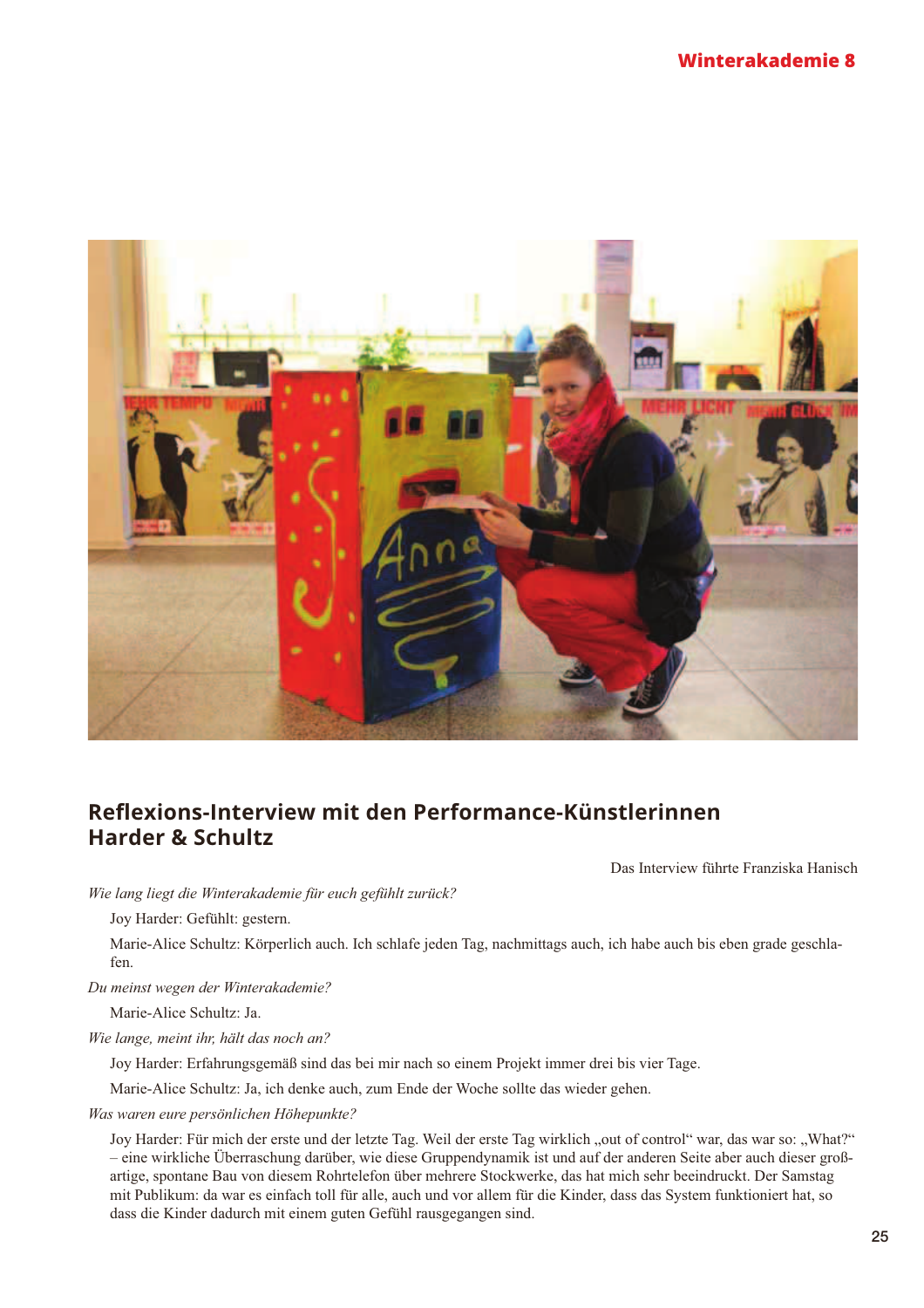

## Reflexions-Interview mit den Performance-Künstlerinnen **Harder & Schultz**

Das Interview führte Franziska Hanisch

Wie lang liegt die Winterakademie für euch gefühlt zurück?

Joy Harder: Gefühlt: gestern.

Marie-Alice Schultz: Körperlich auch. Ich schlafe jeden Tag, nachmittags auch, ich habe auch bis eben grade geschlafen.

Du meinst wegen der Winterakademie?

Marie-Alice Schultz: Ja.

Wie lange, meint ihr, hält das noch an?

Joy Harder: Erfahrungsgemäß sind das bei mir nach so einem Projekt immer drei bis vier Tage.

Marie-Alice Schultz: Ja, ich denke auch, zum Ende der Woche sollte das wieder gehen.

Was waren eure persönlichen Höhepunkte?

Joy Harder: Für mich der erste und der letzte Tag. Weil der erste Tag wirklich "out of control" war, das war so: "What?" - eine wirkliche Überraschung darüber, wie diese Gruppendynamik ist und auf der anderen Seite aber auch dieser großartige, spontane Bau von diesem Rohrtelefon über mehrere Stockwerke, das hat mich sehr beeindruckt. Der Samstag mit Publikum: da war es einfach toll für alle, auch und vor allem für die Kinder, dass das System funktioniert hat, so dass die Kinder dadurch mit einem guten Gefühl rausgegangen sind.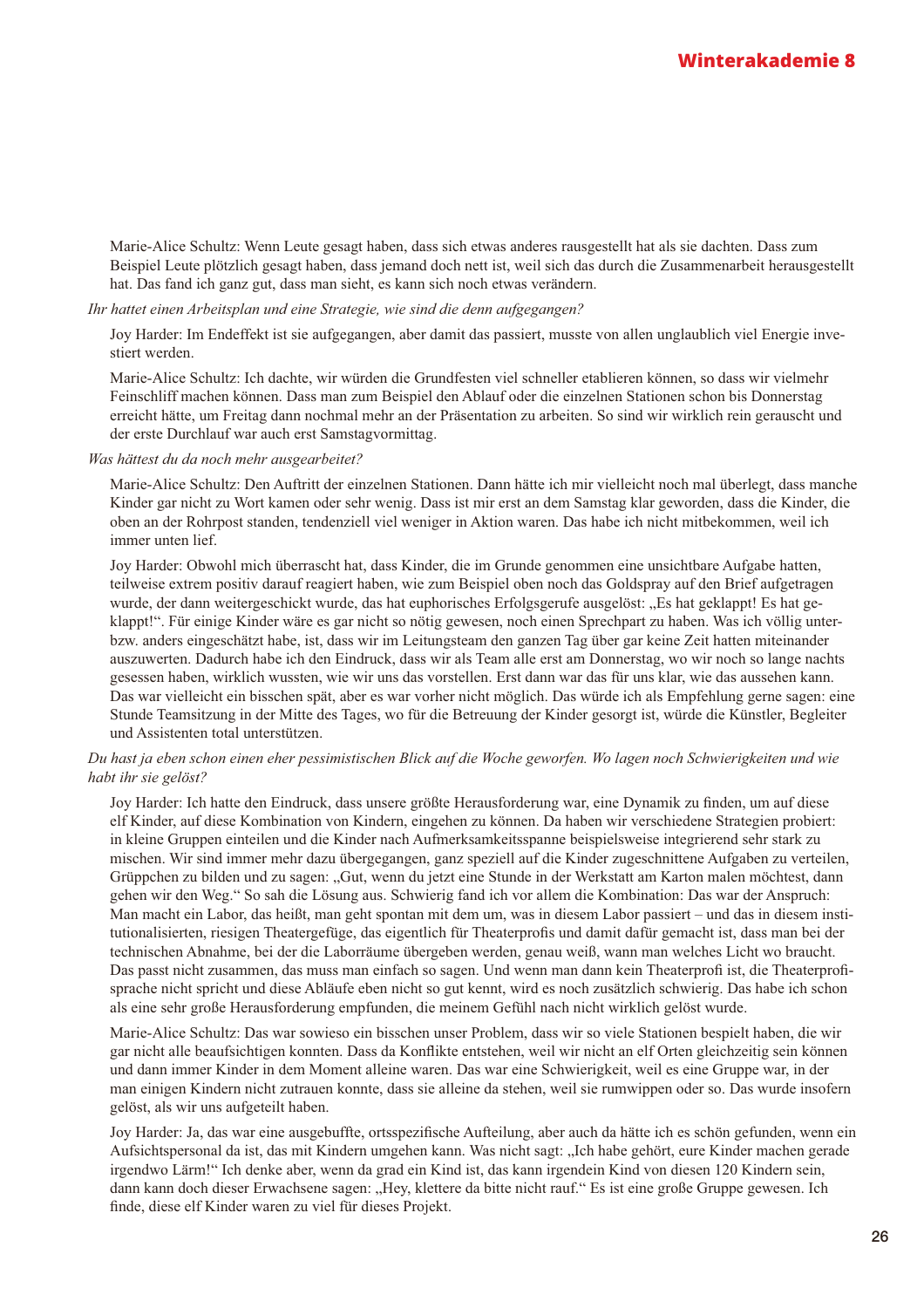Marie-Alice Schultz: Wenn Leute gesagt haben, dass sich etwas anderes rausgestellt hat als sie dachten. Dass zum Beispiel Leute plötzlich gesagt haben, dass jemand doch nett ist, weil sich das durch die Zusammenarbeit herausgestellt hat. Das fand ich ganz gut, dass man sieht, es kann sich noch etwas verändern.

#### Ihr hattet einen Arbeitsplan und eine Strategie, wie sind die denn aufgegangen?

Joy Harder: Im Endeffekt ist sie aufgegangen, aber damit das passiert, musste von allen unglaublich viel Energie investiert werden.

Marie-Alice Schultz: Ich dachte, wir würden die Grundfesten viel schneller etablieren können, so dass wir vielmehr Feinschliff machen können. Dass man zum Beispiel den Ablauf oder die einzelnen Stationen schon bis Donnerstag erreicht hätte, um Freitag dann nochmal mehr an der Präsentation zu arbeiten. So sind wir wirklich rein gerauscht und der erste Durchlauf war auch erst Samstagvormittag.

#### Was hättest du da noch mehr ausgearbeitet?

Marie-Alice Schultz: Den Auftritt der einzelnen Stationen. Dann hätte ich mir vielleicht noch mal überlegt, dass manche Kinder gar nicht zu Wort kamen oder sehr wenig. Dass ist mir erst an dem Samstag klar geworden, dass die Kinder, die oben an der Rohrpost standen, tendenziell viel weniger in Aktion waren. Das habe ich nicht mitbekommen, weil ich immer unten lief.

Joy Harder: Obwohl mich überrascht hat, dass Kinder, die im Grunde genommen eine unsichtbare Aufgabe hatten, teilweise extrem positiv darauf reagiert haben, wie zum Beispiel oben noch das Goldspray auf den Brief aufgetragen wurde, der dann weitergeschickt wurde, das hat euphorisches Erfolgsgerufe ausgelöst: "Es hat geklappt! Es hat geklappt!". Für einige Kinder wäre es gar nicht so nötig gewesen, noch einen Sprechpart zu haben. Was ich völlig unterbzw. anders eingeschätzt habe, ist, dass wir im Leitungsteam den ganzen Tag über gar keine Zeit hatten miteinander auszuwerten. Dadurch habe ich den Eindruck, dass wir als Team alle erst am Donnerstag, wo wir noch so lange nachts gesessen haben, wirklich wussten, wie wir uns das vorstellen. Erst dann war das für uns klar, wie das aussehen kann. Das war vielleicht ein bisschen spät, aber es war vorher nicht möglich. Das würde ich als Empfehlung gerne sagen: eine Stunde Teamsitzung in der Mitte des Tages, wo für die Betreuung der Kinder gesorgt ist, würde die Künstler, Begleiter und Assistenten total unterstützen.

#### Du hast ja eben schon einen eher pessimistischen Blick auf die Woche geworfen. Wo lagen noch Schwierigkeiten und wie habt ihr sie gelöst?

Joy Harder: Ich hatte den Eindruck, dass unsere größte Herausforderung war, eine Dynamik zu finden, um auf diese elf Kinder, auf diese Kombination von Kindern, eingehen zu können. Da haben wir verschiedene Strategien probiert: in kleine Gruppen einteilen und die Kinder nach Aufmerksamkeitsspanne beispielsweise integrierend sehr stark zu mischen. Wir sind immer mehr dazu übergegangen, ganz speziell auf die Kinder zugeschnittene Aufgaben zu verteilen, Grüppchen zu bilden und zu sagen: "Gut, wenn du jetzt eine Stunde in der Werkstatt am Karton malen möchtest, dann gehen wir den Weg." So sah die Lösung aus. Schwierig fand ich vor allem die Kombination: Das war der Anspruch: Man macht ein Labor, das heißt, man geht spontan mit dem um, was in diesem Labor passiert – und das in diesem institutionalisierten, riesigen Theatergefüge, das eigentlich für Theaterprofis und damit dafür gemacht ist, dass man bei der technischen Abnahme, bei der die Laborräume übergeben werden, genau weiß, wann man welches Licht wo braucht. Das passt nicht zusammen, das muss man einfach so sagen. Und wenn man dann kein Theaterprofi ist, die Theaterprofisprache nicht spricht und diese Abläufe eben nicht so gut kennt, wird es noch zusätzlich schwierig. Das habe ich schon als eine sehr große Herausforderung empfunden, die meinem Gefühl nach nicht wirklich gelöst wurde.

Marie-Alice Schultz: Das war sowieso ein bisschen unser Problem, dass wir so viele Stationen bespielt haben, die wir gar nicht alle beaufsichtigen konnten. Dass da Konflikte entstehen, weil wir nicht an elf Orten gleichzeitig sein können und dann immer Kinder in dem Moment alleine waren. Das war eine Schwierigkeit, weil es eine Gruppe war, in der man einigen Kindern nicht zutrauen konnte, dass sie alleine da stehen, weil sie rumwippen oder so. Das wurde insofern gelöst, als wir uns aufgeteilt haben.

Joy Harder: Ja, das war eine ausgebuffte, ortsspezifische Aufteilung, aber auch da hätte ich es schön gefunden, wenn ein Aufsichtspersonal da ist, das mit Kindern umgehen kann. Was nicht sagt: "Ich habe gehört, eure Kinder machen gerade irgendwo Lärm!" Ich denke aber, wenn da grad ein Kind ist, das kann irgendein Kind von diesen 120 Kindern sein, dann kann doch dieser Erwachsene sagen: "Hey, klettere da bitte nicht rauf." Es ist eine große Gruppe gewesen. Ich finde, diese elf Kinder waren zu viel für dieses Projekt.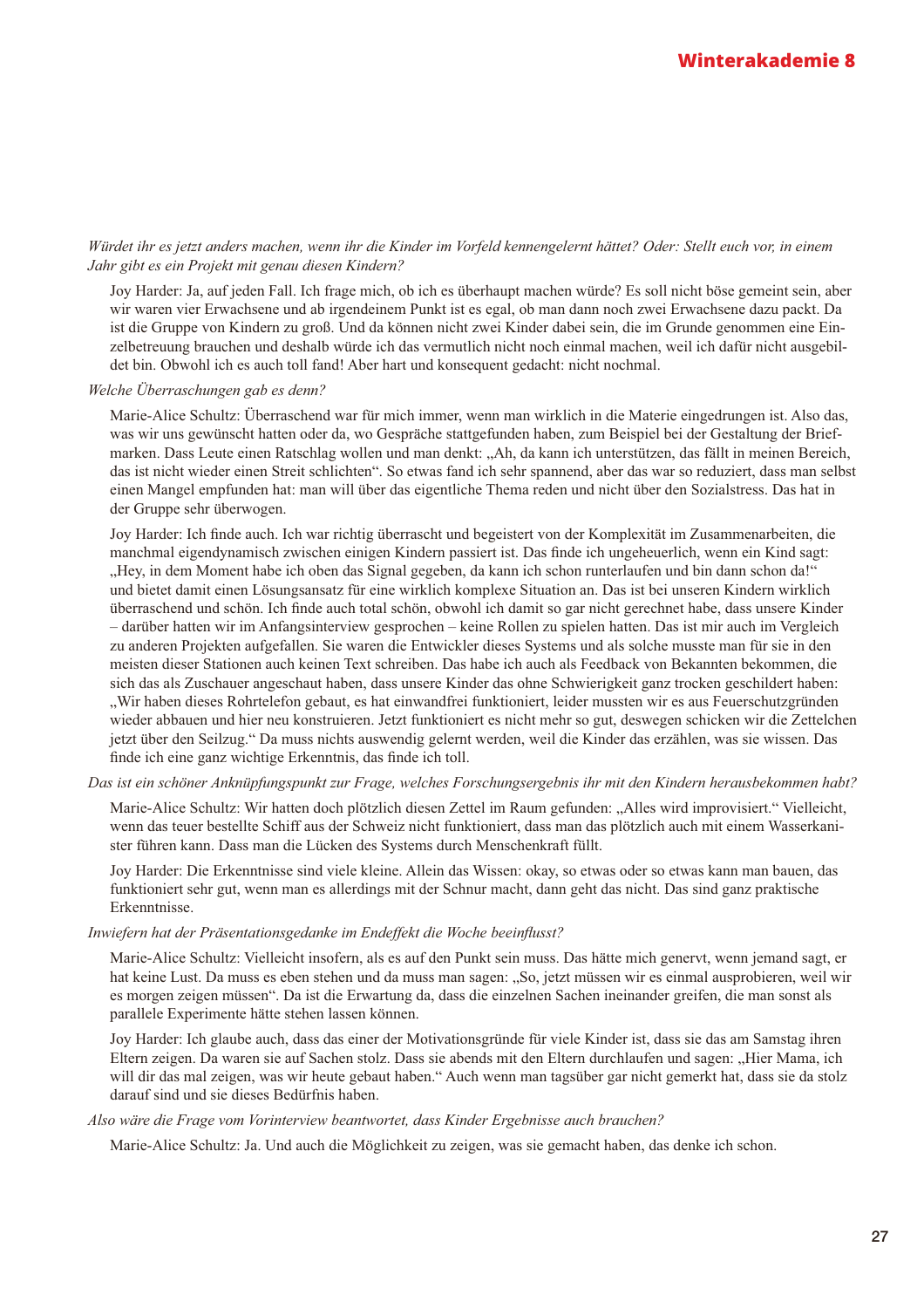#### Würdet ihr es jetzt anders machen, wenn ihr die Kinder im Vorfeld kennengelernt hättet? Oder: Stellt euch vor, in einem Jahr gibt es ein Projekt mit genau diesen Kindern?

Joy Harder: Ja, auf jeden Fall. Ich frage mich, ob ich es überhaupt machen würde? Es soll nicht böse gemeint sein, aber wir waren vier Erwachsene und ab irgendeinem Punkt ist es egal, ob man dann noch zwei Erwachsene dazu packt. Da ist die Gruppe von Kindern zu groß. Und da können nicht zwei Kinder dabei sein, die im Grunde genommen eine Einzelbetreuung brauchen und deshalb würde ich das vermutlich nicht noch einmal machen, weil ich dafür nicht ausgebildet bin. Obwohl ich es auch toll fand! Aber hart und konsequent gedacht: nicht nochmal.

#### Welche Überraschungen gab es denn?

Marie-Alice Schultz: Überraschend war für mich immer, wenn man wirklich in die Materie eingedrungen ist. Also das, was wir uns gewünscht hatten oder da, wo Gespräche stattgefunden haben, zum Beispiel bei der Gestaltung der Briefmarken. Dass Leute einen Ratschlag wollen und man denkt: "Ah, da kann ich unterstützen, das fällt in meinen Bereich, das ist nicht wieder einen Streit schlichten". So etwas fand ich sehr spannend, aber das war so reduziert, dass man selbst einen Mangel empfunden hat: man will über das eigentliche Thema reden und nicht über den Sozialstress. Das hat in der Gruppe sehr überwogen.

Joy Harder: Ich finde auch. Ich war richtig überrascht und begeistert von der Komplexität im Zusammenarbeiten, die manchmal eigendynamisch zwischen einigen Kindern passiert ist. Das finde ich ungeheuerlich, wenn ein Kind sagt: "Hey, in dem Moment habe ich oben das Signal gegeben, da kann ich schon runterlaufen und bin dann schon da!" und bietet damit einen Lösungsansatz für eine wirklich komplexe Situation an. Das ist bei unseren Kindern wirklich überraschend und schön. Ich finde auch total schön, obwohl ich damit so gar nicht gerechnet habe, dass unsere Kinder - darüber hatten wir im Anfangsinterview gesprochen - keine Rollen zu spielen hatten. Das ist mir auch im Vergleich zu anderen Projekten aufgefallen. Sie waren die Entwickler dieses Systems und als solche musste man für sie in den meisten dieser Stationen auch keinen Text schreiben. Das habe ich auch als Feedback von Bekannten bekommen, die sich das als Zuschauer angeschaut haben, dass unsere Kinder das ohne Schwierigkeit ganz trocken geschildert haben: "Wir haben dieses Rohrtelefon gebaut, es hat einwandfrei funktioniert, leider mussten wir es aus Feuerschutzgründen wieder abbauen und hier neu konstruieren. Jetzt funktioniert es nicht mehr so gut, deswegen schicken wir die Zettelchen jetzt über den Seilzug." Da muss nichts auswendig gelernt werden, weil die Kinder das erzählen, was sie wissen. Das finde ich eine ganz wichtige Erkenntnis, das finde ich toll.

#### Das ist ein schöner Anknüpfungspunkt zur Frage, welches Forschungsergebnis ihr mit den Kindern herausbekommen habt?

Marie-Alice Schultz: Wir hatten doch plötzlich diesen Zettel im Raum gefunden: "Alles wird improvisiert." Vielleicht, wenn das teuer bestellte Schiff aus der Schweiz nicht funktioniert, dass man das plötzlich auch mit einem Wasserkanister führen kann. Dass man die Lücken des Systems durch Menschenkraft füllt.

Joy Harder: Die Erkenntnisse sind viele kleine. Allein das Wissen: okay, so etwas oder so etwas kann man bauen, das funktioniert sehr gut, wenn man es allerdings mit der Schnur macht, dann geht das nicht. Das sind ganz praktische Erkenntnisse.

#### Inwiefern hat der Präsentationsgedanke im Endeffekt die Woche beeinflusst?

Marie-Alice Schultz: Vielleicht insofern, als es auf den Punkt sein muss. Das hätte mich genervt, wenn jemand sagt, er hat keine Lust. Da muss es eben stehen und da muss man sagen: "So, jetzt müssen wir es einmal ausprobieren, weil wir es morgen zeigen müssen". Da ist die Erwartung da, dass die einzelnen Sachen ineinander greifen, die man sonst als parallele Experimente hätte stehen lassen können.

Joy Harder: Ich glaube auch, dass das einer der Motivationsgründe für viele Kinder ist, dass sie das am Samstag ihren Eltern zeigen. Da waren sie auf Sachen stolz. Dass sie abends mit den Eltern durchlaufen und sagen: "Hier Mama, ich will dir das mal zeigen, was wir heute gebaut haben." Auch wenn man tagsüber gar nicht gemerkt hat, dass sie da stolz darauf sind und sie dieses Bedürfnis haben.

#### Also wäre die Frage vom Vorinterview beantwortet, dass Kinder Ergebnisse auch brauchen?

Marie-Alice Schultz: Ja. Und auch die Möglichkeit zu zeigen, was sie gemacht haben, das denke ich schon.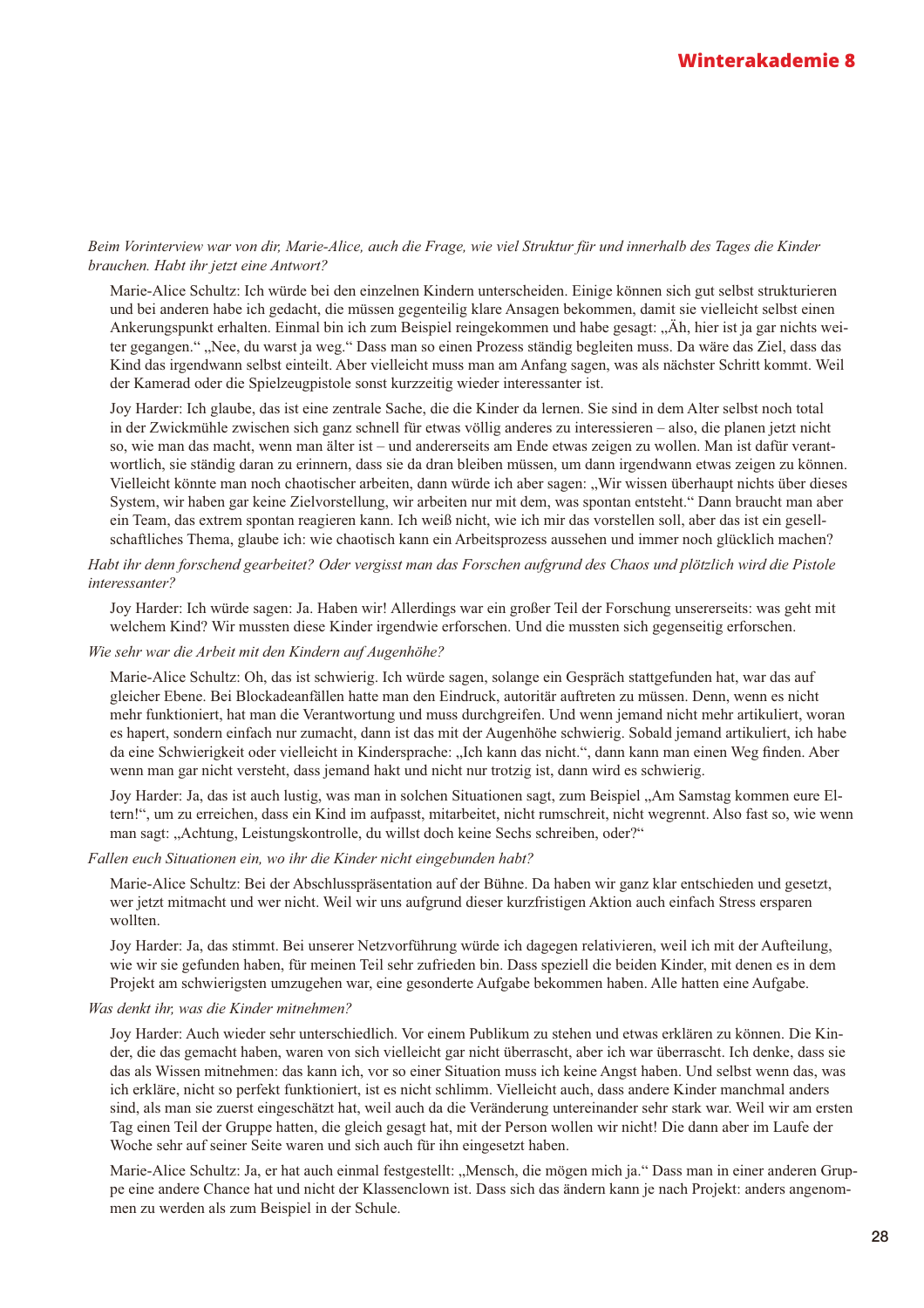#### Beim Vorinterview war von dir, Marie-Alice, auch die Frage, wie viel Struktur für und innerhalb des Tages die Kinder brauchen. Habt ihr jetzt eine Antwort?

Marie-Alice Schultz: Ich würde bei den einzelnen Kindern unterscheiden. Einige können sich gut selbst strukturieren und bei anderen habe ich gedacht, die müssen gegenteilig klare Ansagen bekommen, damit sie vielleicht selbst einen Ankerungspunkt erhalten. Einmal bin ich zum Beispiel reingekommen und habe gesagt: "Äh, hier ist ja gar nichts weiter gegangen." "Nee, du warst ja weg." Dass man so einen Prozess ständig begleiten muss. Da wäre das Ziel, dass das Kind das irgendwann selbst einteilt. Aber vielleicht muss man am Anfang sagen, was als nächster Schritt kommt. Weil der Kamerad oder die Spielzeugpistole sonst kurzzeitig wieder interessanter ist.

Joy Harder: Ich glaube, das ist eine zentrale Sache, die die Kinder da lernen. Sie sind in dem Alter selbst noch total in der Zwickmühle zwischen sich ganz schnell für etwas völlig anderes zu interessieren – also, die planen jetzt nicht so, wie man das macht, wenn man älter ist – und andererseits am Ende etwas zeigen zu wollen. Man ist dafür verantwortlich, sie ständig daran zu erinnern, dass sie da dran bleiben müssen, um dann irgendwann etwas zeigen zu können. Vielleicht könnte man noch chaotischer arbeiten, dann würde ich aber sagen: "Wir wissen überhaupt nichts über dieses System, wir haben gar keine Zielvorstellung, wir arbeiten nur mit dem, was spontan entsteht." Dann braucht man aber ein Team, das extrem spontan reagieren kann. Ich weiß nicht, wie ich mir das vorstellen soll, aber das ist ein gesellschaftliches Thema, glaube ich: wie chaotisch kann ein Arbeitsprozess aussehen und immer noch glücklich machen?

#### Habt ihr denn forschend gearbeitet? Oder vergisst man das Forschen aufgrund des Chaos und plötzlich wird die Pistole interessanter?

Joy Harder: Ich würde sagen: Ja. Haben wir! Allerdings war ein großer Teil der Forschung unsererseits: was geht mit welchem Kind? Wir mussten diese Kinder irgendwie erforschen. Und die mussten sich gegenseitig erforschen.

#### Wie sehr war die Arbeit mit den Kindern auf Augenhöhe?

Marie-Alice Schultz: Oh, das ist schwierig. Ich würde sagen, solange ein Gespräch stattgefunden hat, war das auf gleicher Ebene. Bei Blockadeanfällen hatte man den Eindruck, autoritär auftreten zu müssen. Denn, wenn es nicht mehr funktioniert, hat man die Verantwortung und muss durchgreifen. Und wenn jemand nicht mehr artikuliert, woran es hapert, sondern einfach nur zumacht, dann ist das mit der Augenhöhe schwierig. Sobald jemand artikuliert, ich habe da eine Schwierigkeit oder vielleicht in Kindersprache: "Ich kann das nicht.", dann kann man einen Weg finden. Aber wenn man gar nicht versteht, dass jemand hakt und nicht nur trotzig ist, dann wird es schwierig.

Joy Harder: Ja, das ist auch lustig, was man in solchen Situationen sagt, zum Beispiel "Am Samstag kommen eure Eltern!", um zu erreichen, dass ein Kind im aufpasst, mitarbeitet, nicht rumschreit, nicht wegrennt. Also fast so, wie wenn man sagt: "Achtung, Leistungskontrolle, du willst doch keine Sechs schreiben, oder?"

#### Fallen euch Situationen ein, wo ihr die Kinder nicht eingebunden habt?

Marie-Alice Schultz: Bei der Abschlusspräsentation auf der Bühne. Da haben wir ganz klar entschieden und gesetzt, wer jetzt mitmacht und wer nicht. Weil wir uns aufgrund dieser kurzfristigen Aktion auch einfach Stress ersparen wollten.

Joy Harder: Ja, das stimmt. Bei unserer Netzvorführung würde ich dagegen relativieren, weil ich mit der Aufteilung, wie wir sie gefunden haben, für meinen Teil sehr zufrieden bin. Dass speziell die beiden Kinder, mit denen es in dem Projekt am schwierigsten umzugehen war, eine gesonderte Aufgabe bekommen haben. Alle hatten eine Aufgabe.

#### Was denkt ihr, was die Kinder mitnehmen?

Joy Harder: Auch wieder sehr unterschiedlich. Vor einem Publikum zu stehen und etwas erklären zu können. Die Kinder, die das gemacht haben, waren von sich vielleicht gar nicht überrascht, aber ich war überrascht. Ich denke, dass sie das als Wissen mitnehmen: das kann ich, vor so einer Situation muss ich keine Angst haben. Und selbst wenn das, was ich erkläre, nicht so perfekt funktioniert, ist es nicht schlimm. Vielleicht auch, dass andere Kinder manchmal anders sind, als man sie zuerst eingeschätzt hat, weil auch da die Veränderung untereinander sehr stark war. Weil wir am ersten Tag einen Teil der Gruppe hatten, die gleich gesagt hat, mit der Person wollen wir nicht! Die dann aber im Laufe der Woche sehr auf seiner Seite waren und sich auch für ihn eingesetzt haben.

Marie-Alice Schultz: Ja, er hat auch einmal festgestellt: "Mensch, die mögen mich ja." Dass man in einer anderen Gruppe eine andere Chance hat und nicht der Klassenclown ist. Dass sich das ändern kann je nach Projekt: anders angenommen zu werden als zum Beispiel in der Schule.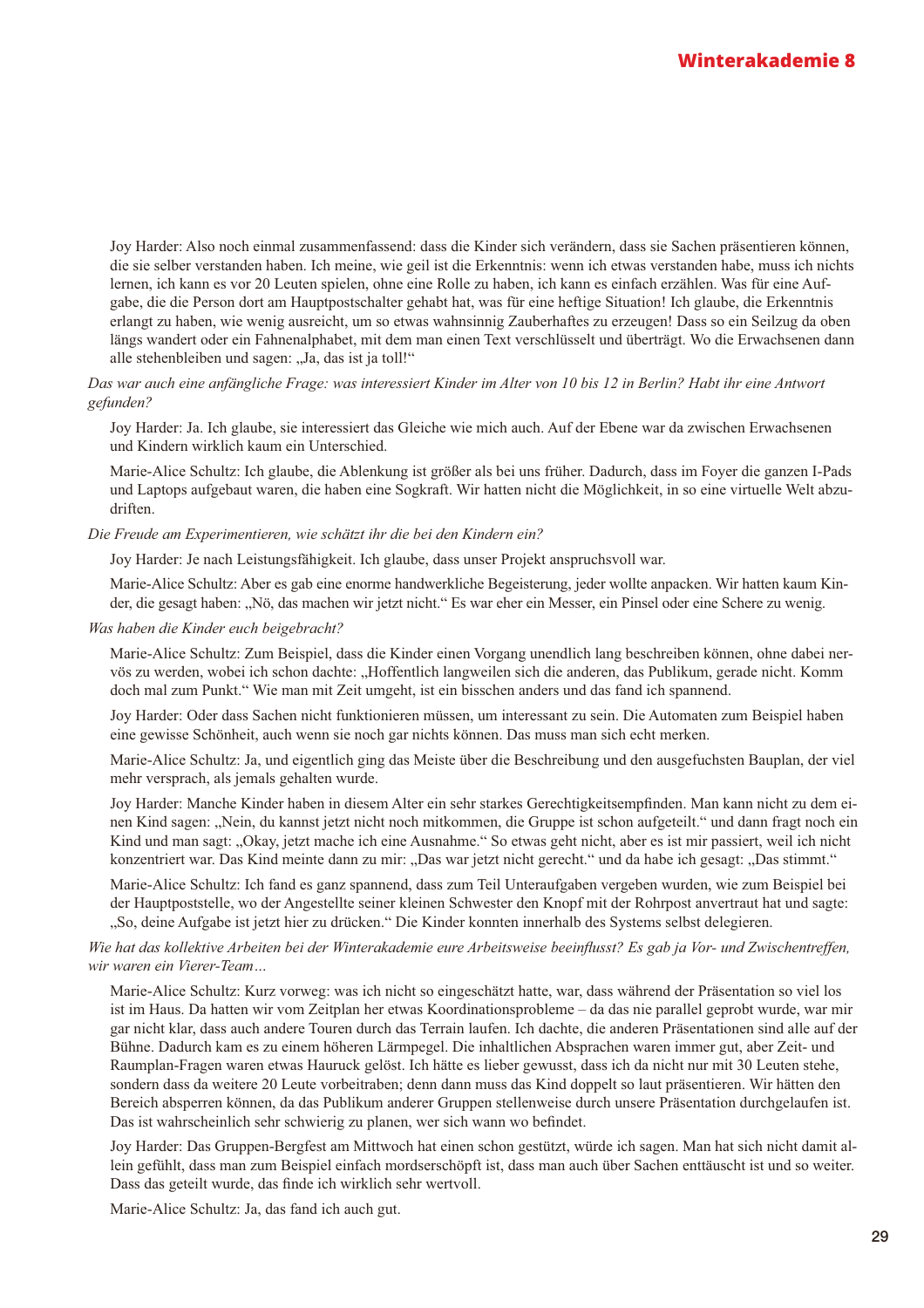Joy Harder: Also noch einmal zusammenfassend: dass die Kinder sich verändern, dass sie Sachen präsentieren können, die sie selber verstanden haben. Ich meine, wie geil ist die Erkenntnis: wenn ich etwas verstanden habe, muss ich nichts lernen, ich kann es vor 20 Leuten spielen, ohne eine Rolle zu haben, ich kann es einfach erzählen. Was für eine Aufgabe, die die Person dort am Hauptpostschalter gehabt hat, was für eine heftige Situation! Ich glaube, die Erkenntnis erlangt zu haben, wie wenig ausreicht, um so etwas wahnsinnig Zauberhaftes zu erzeugen! Dass so ein Seilzug da oben längs wandert oder ein Fahnenalphabet, mit dem man einen Text verschlüsselt und überträgt. Wo die Erwachsenen dann alle stehenbleiben und sagen: "Ja, das ist ja toll!"

#### Das war auch eine anfängliche Frage: was interessiert Kinder im Alter von 10 bis 12 in Berlin? Habt ihr eine Antwort gefunden?

Joy Harder: Ja. Ich glaube, sie interessiert das Gleiche wie mich auch. Auf der Ebene war da zwischen Erwachsenen und Kindern wirklich kaum ein Unterschied.

Marie-Alice Schultz: Ich glaube, die Ablenkung ist größer als bei uns früher. Dadurch, dass im Fover die ganzen I-Pads und Laptops aufgebaut waren, die haben eine Sogkraft. Wir hatten nicht die Möglichkeit, in so eine virtuelle Welt abzudriften.

#### Die Freude am Experimentieren, wie schätzt ihr die bei den Kindern ein?

Joy Harder: Je nach Leistungsfähigkeit. Ich glaube, dass unser Projekt anspruchsvoll war.

Marie-Alice Schultz: Aber es gab eine enorme handwerkliche Begeisterung, jeder wollte anpacken. Wir hatten kaum Kinder, die gesagt haben: "Nö, das machen wir jetzt nicht." Es war eher ein Messer, ein Pinsel oder eine Schere zu wenig.

#### Was haben die Kinder euch beigebracht?

Marie-Alice Schultz: Zum Beispiel, dass die Kinder einen Vorgang unendlich lang beschreiben können, ohne dabei nervös zu werden, wobei ich schon dachte: "Hoffentlich langweilen sich die anderen, das Publikum, gerade nicht. Komm doch mal zum Punkt." Wie man mit Zeit umgeht, ist ein bisschen anders und das fand ich spannend.

Joy Harder: Oder dass Sachen nicht funktionieren müssen, um interessant zu sein. Die Automaten zum Beispiel haben eine gewisse Schönheit, auch wenn sie noch gar nichts können. Das muss man sich echt merken.

Marie-Alice Schultz: Ja, und eigentlich ging das Meiste über die Beschreibung und den ausgefuchsten Bauplan, der viel mehr versprach, als jemals gehalten wurde.

Joy Harder: Manche Kinder haben in diesem Alter ein sehr starkes Gerechtigkeitsempfinden. Man kann nicht zu dem einen Kind sagen: "Nein, du kannst jetzt nicht noch mitkommen, die Gruppe ist schon aufgeteilt." und dann fragt noch ein Kind und man sagt: "Okay, jetzt mache ich eine Ausnahme." So etwas geht nicht, aber es ist mir passiert, weil ich nicht konzentriert war. Das Kind meinte dann zu mir: "Das war jetzt nicht gerecht." und da habe ich gesagt: "Das stimmt."

Marie-Alice Schultz: Ich fand es ganz spannend, dass zum Teil Unteraufgaben vergeben wurden, wie zum Beispiel bei der Hauptpoststelle, wo der Angestellte seiner kleinen Schwester den Knopf mit der Rohrpost anvertraut hat und sagte: "So, deine Aufgabe ist jetzt hier zu drücken." Die Kinder konnten innerhalb des Systems selbst delegieren.

#### Wie hat das kollektive Arbeiten bei der Winterakademie eure Arbeitsweise beeinflusst? Es gab ja Vor- und Zwischentreffen, wir waren ein Vierer-Team...

Marie-Alice Schultz: Kurz vorweg: was ich nicht so eingeschätzt hatte, war, dass während der Präsentation so viel los ist im Haus. Da hatten wir vom Zeitplan her etwas Koordinationsprobleme – da das nie parallel geprobt wurde, war mir gar nicht klar, dass auch andere Touren durch das Terrain laufen. Ich dachte, die anderen Präsentationen sind alle auf der Bühne. Dadurch kam es zu einem höheren Lärmpegel. Die inhaltlichen Absprachen waren immer gut, aber Zeit- und Raumplan-Fragen waren etwas Hauruck gelöst. Ich hätte es lieber gewusst, dass ich da nicht nur mit 30 Leuten stehe, sondern dass da weitere 20 Leute vorbeitraben: denn dann muss das Kind doppelt so laut präsentieren. Wir hätten den Bereich absperren können, da das Publikum anderer Gruppen stellenweise durch unsere Präsentation durchgelaufen ist. Das ist wahrscheinlich sehr schwierig zu planen, wer sich wann wo befindet.

Joy Harder: Das Gruppen-Bergfest am Mittwoch hat einen schon gestützt, würde ich sagen. Man hat sich nicht damit allein gefühlt, dass man zum Beispiel einfach mordserschöpft ist, dass man auch über Sachen enttäuscht ist und so weiter. Dass das geteilt wurde, das finde ich wirklich sehr wertvoll.

Marie-Alice Schultz: Ja, das fand ich auch gut.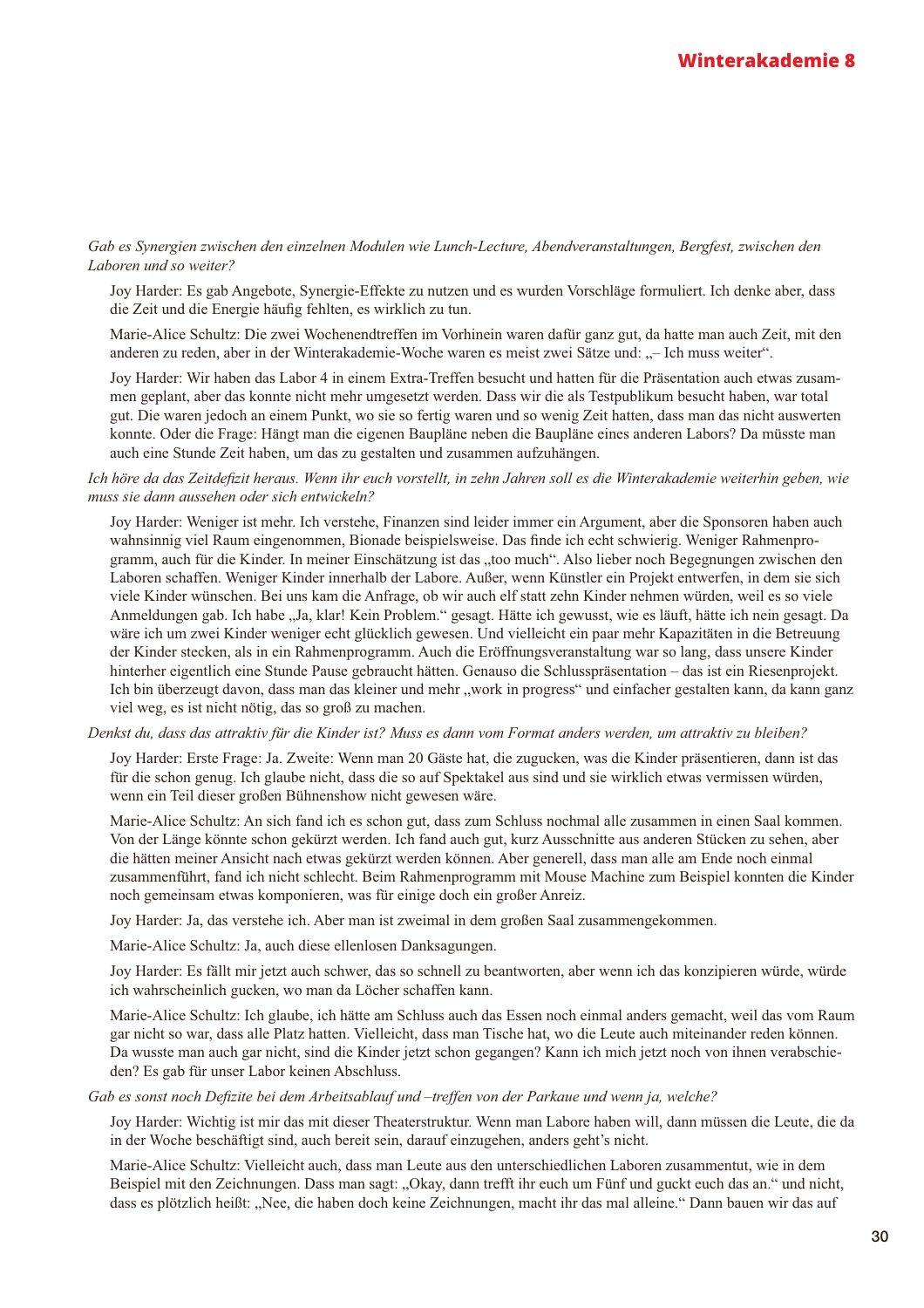#### Gab es Synergien zwischen den einzelnen Modulen wie Lunch-Lecture, Abendveranstaltungen, Bergfest, zwischen den Laboren und so weiter?

Joy Harder: Es gab Angebote, Synergie-Effekte zu nutzen und es wurden Vorschläge formuliert. Ich denke aber, dass die Zeit und die Energie häufig fehlten, es wirklich zu tun.

Marie-Alice Schultz: Die zwei Wochenendtreffen im Vorhinein waren dafür ganz gut, da hatte man auch Zeit, mit den anderen zu reden, aber in der Winterakademie-Woche waren es meist zwei Sätze und: "– Ich muss weiter".

Joy Harder: Wir haben das Labor 4 in einem Extra-Treffen besucht und hatten für die Präsentation auch etwas zusammen geplant, aber das konnte nicht mehr umgesetzt werden. Dass wir die als Testpublikum besucht haben, war total gut. Die waren jedoch an einem Punkt, wo sie so fertig waren und so wenig Zeit hatten, dass man das nicht auswerten konnte. Oder die Frage: Hängt man die eigenen Baupläne neben die Baupläne eines anderen Labors? Da müsste man auch eine Stunde Zeit haben, um das zu gestalten und zusammen aufzuhängen.

#### Ich höre da das Zeitdefizit heraus. Wenn ihr euch vorstellt, in zehn Jahren soll es die Winterakademie weiterhin geben, wie muss sie dann aussehen oder sich entwickeln?

Joy Harder: Weniger ist mehr. Ich verstehe, Finanzen sind leider immer ein Argument, aber die Sponsoren haben auch wahnsinnig viel Raum eingenommen. Bionade beispielsweise. Das finde ich echt schwierig. Weniger Rahmenprogramm, auch für die Kinder. In meiner Einschätzung ist das "too much". Also lieber noch Begegnungen zwischen den Laboren schaffen. Weniger Kinder innerhalb der Labore. Außer, wenn Künstler ein Projekt entwerfen, in dem sie sich viele Kinder wünschen. Bei uns kam die Anfrage, ob wir auch elf statt zehn Kinder nehmen würden, weil es so viele Anmeldungen gab. Ich habe "Ja, klar! Kein Problem." gesagt. Hätte ich gewusst, wie es läuft, hätte ich nein gesagt. Da wäre ich um zwei Kinder weniger echt glücklich gewesen. Und vielleicht ein paar mehr Kapazitäten in die Betreuung der Kinder stecken, als in ein Rahmenprogramm. Auch die Eröffnungsveranstaltung war so lang, dass unsere Kinder hinterher eigentlich eine Stunde Pause gebraucht hätten. Genauso die Schlusspräsentation – das ist ein Riesenprojekt. Ich bin überzeugt davon, dass man das kleiner und mehr "work in progress" und einfacher gestalten kann, da kann ganz viel weg, es ist nicht nötig, das so groß zu machen.

Denkst du, dass das attraktiv für die Kinder ist? Muss es dann vom Format anders werden, um attraktiv zu bleiben?

Joy Harder: Erste Frage: Ja. Zweite: Wenn man 20 Gäste hat, die zugucken, was die Kinder präsentieren, dann ist das für die schon genug. Ich glaube nicht, dass die so auf Spektakel aus sind und sie wirklich etwas vermissen würden, wenn ein Teil dieser großen Bühnenshow nicht gewesen wäre.

Marie-Alice Schultz: An sich fand ich es schon gut, dass zum Schluss nochmal alle zusammen in einen Saal kommen. Von der Länge könnte schon gekürzt werden. Ich fand auch gut, kurz Ausschnitte aus anderen Stücken zu sehen, aber die hätten meiner Ansicht nach etwas gekürzt werden können. Aber generell, dass man alle am Ende noch einmal zusammenführt, fand ich nicht schlecht. Beim Rahmenprogramm mit Mouse Machine zum Beispiel konnten die Kinder noch gemeinsam etwas komponieren, was für einige doch ein großer Anreiz.

Joy Harder: Ja, das verstehe ich. Aber man ist zweimal in dem großen Saal zusammengekommen.

Marie-Alice Schultz: Ja, auch diese ellenlosen Danksagungen.

Joy Harder: Es fällt mir jetzt auch schwer, das so schnell zu beantworten, aber wenn ich das konzipieren würde, würde ich wahrscheinlich gucken, wo man da Löcher schaffen kann.

Marie-Alice Schultz: Ich glaube, ich hätte am Schluss auch das Essen noch einmal anders gemacht, weil das vom Raum gar nicht so war, dass alle Platz hatten. Vielleicht, dass man Tische hat, wo die Leute auch miteinander reden können. Da wusste man auch gar nicht, sind die Kinder jetzt schon gegangen? Kann ich mich jetzt noch von ihnen verabschieden? Es gab für unser Labor keinen Abschluss.

#### Gab es sonst noch Defizite bei dem Arbeitsablauf und -treffen von der Parkaue und wenn ja, welche?

Joy Harder: Wichtig ist mir das mit dieser Theaterstruktur. Wenn man Labore haben will, dann müssen die Leute, die da in der Woche beschäftigt sind, auch bereit sein, darauf einzugehen, anders geht's nicht.

Marie-Alice Schultz: Vielleicht auch, dass man Leute aus den unterschiedlichen Laboren zusammentut, wie in dem Beispiel mit den Zeichnungen. Dass man sagt: "Okay, dann trefft ihr euch um Fünf und guckt euch das an." und nicht, dass es plötzlich heißt: "Nee, die haben doch keine Zeichnungen, macht ihr das mal alleine." Dann bauen wir das auf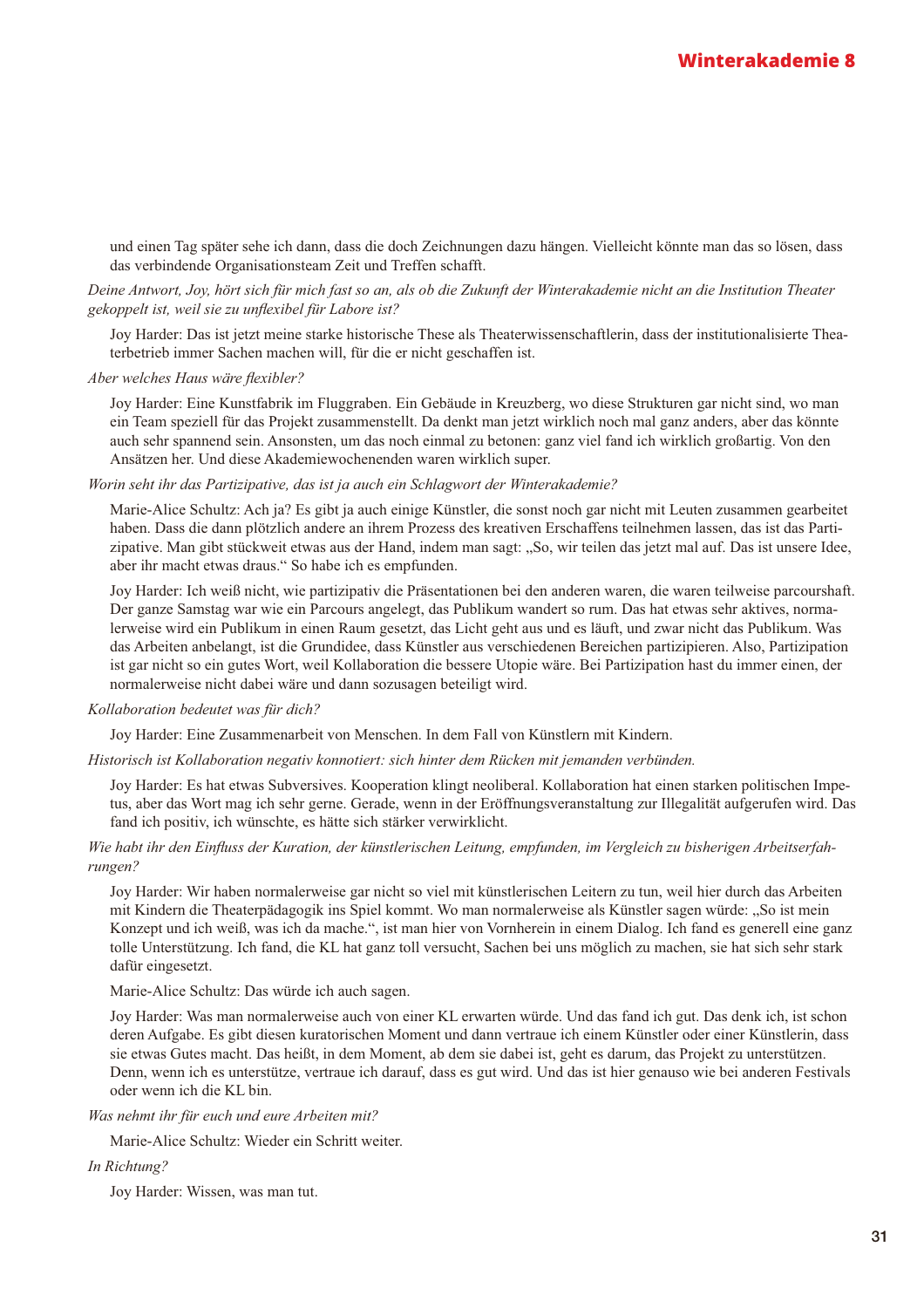und einen Tag später sehe ich dann, dass die doch Zeichnungen dazu hängen. Vielleicht könnte man das so lösen, dass das verbindende Organisationsteam Zeit und Treffen schafft.

#### Deine Antwort, Joy, hört sich für mich fast so an, als ob die Zukunft der Winterakademie nicht an die Institution Theater gekoppelt ist, weil sie zu unflexibel für Labore ist?

Joy Harder: Das ist jetzt meine starke historische These als Theaterwissenschaftlerin, dass der institutionalisierte Theaterbetrieb immer Sachen machen will, für die er nicht geschaffen ist.

Aber welches Haus wäre flexibler?

Joy Harder: Eine Kunstfabrik im Fluggraben. Ein Gebäude in Kreuzberg, wo diese Strukturen gar nicht sind, wo man ein Team speziell für das Projekt zusammenstellt. Da denkt man jetzt wirklich noch mal ganz anders, aber das könnte auch sehr spannend sein. Ansonsten, um das noch einmal zu betonen: ganz viel fand ich wirklich großartig. Von den Ansätzen her. Und diese Akademiewochenenden waren wirklich super.

Worin seht ihr das Partizipative, das ist ja auch ein Schlagwort der Winterakademie?

Marie-Alice Schultz: Ach ja? Es gibt ja auch einige Künstler, die sonst noch gar nicht mit Leuten zusammen gearbeitet haben. Dass die dann plötzlich andere an ihrem Prozess des kreativen Erschaffens teilnehmen lassen, das ist das Partizipative. Man gibt stückweit etwas aus der Hand, indem man sagt: "So, wir teilen das jetzt mal auf. Das ist unsere Idee, aber ihr macht etwas draus." So habe ich es empfunden.

Joy Harder: Ich weiß nicht, wie partizipativ die Präsentationen bei den anderen waren, die waren teilweise parcourshaft. Der ganze Samstag war wie ein Parcours angelegt, das Publikum wandert so rum. Das hat etwas sehr aktives, normalerweise wird ein Publikum in einen Raum gesetzt, das Licht geht aus und es läuft, und zwar nicht das Publikum. Was das Arbeiten anbelangt, ist die Grundidee, dass Künstler aus verschiedenen Bereichen partizipieren. Also, Partizipation ist gar nicht so ein gutes Wort, weil Kollaboration die bessere Utopie wäre. Bei Partizipation hast du immer einen, der normalerweise nicht dabei wäre und dann sozusagen beteiligt wird.

#### Kollaboration bedeutet was für dich?

Joy Harder: Eine Zusammenarbeit von Menschen. In dem Fall von Künstlern mit Kindern.

Historisch ist Kollaboration negativ konnotiert: sich hinter dem Rücken mit jemanden verbünden.

Joy Harder: Es hat etwas Subversives, Kooperation klingt neoliberal. Kollaboration hat einen starken politischen Impetus, aber das Wort mag ich sehr gerne. Gerade, wenn in der Eröffnungsveranstaltung zur Illegalität aufgerufen wird. Das fand ich positiv, ich wünschte, es hätte sich stärker verwirklicht.

#### Wie habt ihr den Einfluss der Kuration, der künstlerischen Leitung, empfunden, im Vergleich zu bisherigen Arbeitserfahrungen?

Joy Harder: Wir haben normalerweise gar nicht so viel mit künstlerischen Leitern zu tun, weil hier durch das Arbeiten mit Kindern die Theaterpädagogik ins Spiel kommt. Wo man normalerweise als Künstler sagen würde: "So ist mein Konzept und ich weiß, was ich da mache.", ist man hier von Vornherein in einem Dialog. Ich fand es generell eine ganz tolle Unterstützung. Ich fand, die KL hat ganz toll versucht, Sachen bei uns möglich zu machen, sie hat sich sehr stark dafür eingesetzt.

Marie-Alice Schultz: Das würde ich auch sagen.

Joy Harder: Was man normalerweise auch von einer KL erwarten würde. Und das fand ich gut. Das denk ich, ist schon deren Aufgabe. Es gibt diesen kuratorischen Moment und dann vertraue ich einem Künstler oder einer Künstlerin, dass sie etwas Gutes macht. Das heißt, in dem Moment, ab dem sie dabei ist, geht es darum, das Projekt zu unterstützen. Denn, wenn ich es unterstütze, vertraue ich darauf, dass es gut wird. Und das ist hier genauso wie bei anderen Festivals oder wenn ich die KL bin.

Was nehmt ihr für euch und eure Arbeiten mit?

Marie-Alice Schultz: Wieder ein Schritt weiter.

In Richtung?

Joy Harder: Wissen, was man tut.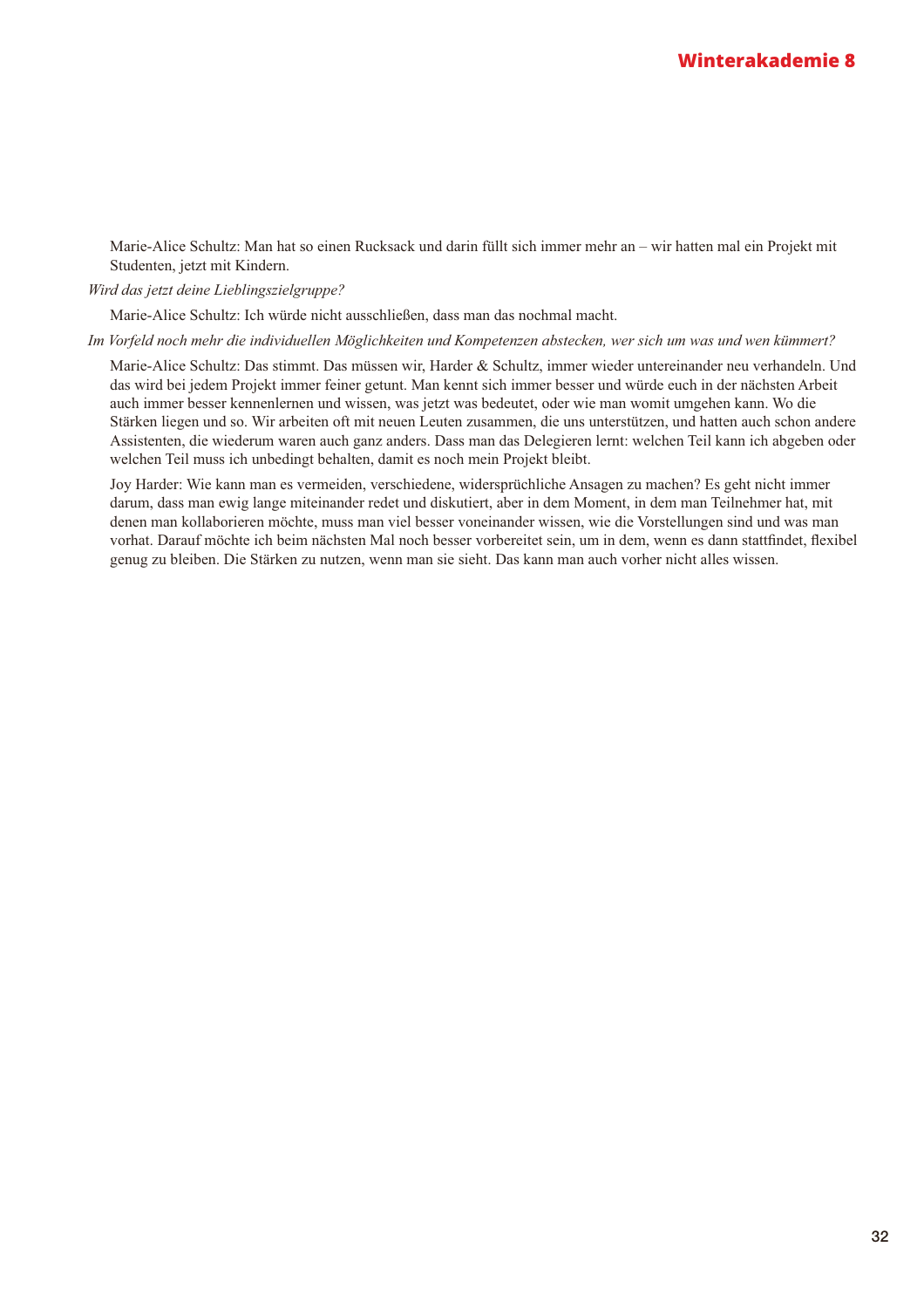Marie-Alice Schultz: Man hat so einen Rucksack und darin füllt sich immer mehr an - wir hatten mal ein Projekt mit Studenten, jetzt mit Kindern.

Wird das jetzt deine Lieblingszielgruppe?

Marie-Alice Schultz: Ich würde nicht ausschließen, dass man das nochmal macht.

Im Vorfeld noch mehr die individuellen Möglichkeiten und Kompetenzen abstecken, wer sich um was und wen kümmert?

Marie-Alice Schultz: Das stimmt. Das müssen wir, Harder & Schultz, immer wieder untereinander neu verhandeln. Und das wird bei jedem Projekt immer feiner getunt. Man kennt sich immer besser und würde euch in der nächsten Arbeit auch immer besser kennenlernen und wissen, was jetzt was bedeutet, oder wie man womit umgehen kann. Wo die Stärken liegen und so. Wir arbeiten oft mit neuen Leuten zusammen, die uns unterstützen, und hatten auch schon andere Assistenten, die wiederum waren auch ganz anders. Dass man das Delegieren lernt: welchen Teil kann ich abgeben oder welchen Teil muss ich unbedingt behalten, damit es noch mein Projekt bleibt.

Joy Harder: Wie kann man es vermeiden, verschiedene, widersprüchliche Ansagen zu machen? Es geht nicht immer darum, dass man ewig lange miteinander redet und diskutiert, aber in dem Moment, in dem man Teilnehmer hat, mit denen man kollaborieren möchte, muss man viel besser voneinander wissen, wie die Vorstellungen sind und was man vorhat. Darauf möchte ich beim nächsten Mal noch besser vorbereitet sein, um in dem, wenn es dann stattfindet, flexibel genug zu bleiben. Die Stärken zu nutzen, wenn man sie sieht. Das kann man auch vorher nicht alles wissen.